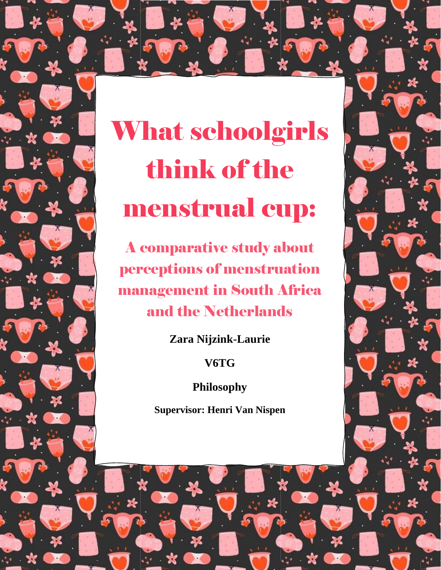# What schoolgirls think of the menstrual cup:

A comparative study about perceptions of menstruation management in South Africa and the Netherlands

**Zara Nijzink-Laurie**

**V6TG**

**Philosophy**

**Supervisor: Henri Van Nispen**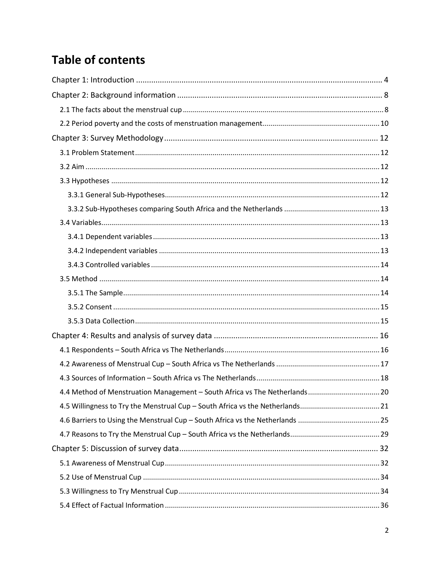# **Table of contents**

| 4.4 Method of Menstruation Management - South Africa vs The Netherlands 20 |  |
|----------------------------------------------------------------------------|--|
|                                                                            |  |
|                                                                            |  |
|                                                                            |  |
|                                                                            |  |
|                                                                            |  |
|                                                                            |  |
|                                                                            |  |
|                                                                            |  |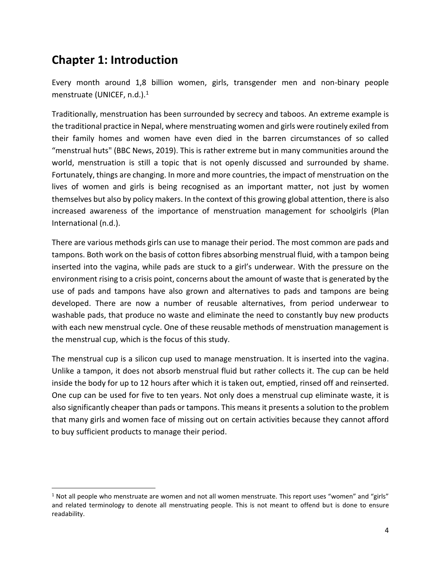# <span id="page-3-0"></span>**Chapter 1: Introduction**

Every month around 1,8 billion women, girls, transgender men and non-binary people menstruate (UNICEF, n.d.).<sup>1</sup>

Traditionally, menstruation has been surrounded by secrecy and taboos. An extreme example is the traditional practice in Nepal, where menstruating women and girls were routinely exiled from their family homes and women have even died in the barren circumstances of so called "menstrual huts" (BBC News, 2019). This is rather extreme but in many communities around the world, menstruation is still a topic that is not openly discussed and surrounded by shame. Fortunately, things are changing. In more and more countries, the impact of menstruation on the lives of women and girls is being recognised as an important matter, not just by women themselves but also by policy makers. In the context of this growing global attention, there is also increased awareness of the importance of menstruation management for schoolgirls (Plan International (n.d.).

There are various methods girls can use to manage their period. The most common are pads and tampons. Both work on the basis of cotton fibres absorbing menstrual fluid, with a tampon being inserted into the vagina, while pads are stuck to a girl's underwear. With the pressure on the environment rising to a crisis point, concerns about the amount of waste that is generated by the use of pads and tampons have also grown and alternatives to pads and tampons are being developed. There are now a number of reusable alternatives, from period underwear to washable pads, that produce no waste and eliminate the need to constantly buy new products with each new menstrual cycle. One of these reusable methods of menstruation management is the menstrual cup, which is the focus of this study.

The menstrual cup is a silicon cup used to manage menstruation. It is inserted into the vagina. Unlike a tampon, it does not absorb menstrual fluid but rather collects it. The cup can be held inside the body for up to 12 hours after which it is taken out, emptied, rinsed off and reinserted. One cup can be used for five to ten years. Not only does a menstrual cup eliminate waste, it is also significantly cheaper than pads or tampons. This means it presents a solution to the problem that many girls and women face of missing out on certain activities because they cannot afford to buy sufficient products to manage their period.

 $1$  Not all people who menstruate are women and not all women menstruate. This report uses "women" and "girls" and related terminology to denote all menstruating people. This is not meant to offend but is done to ensure readability.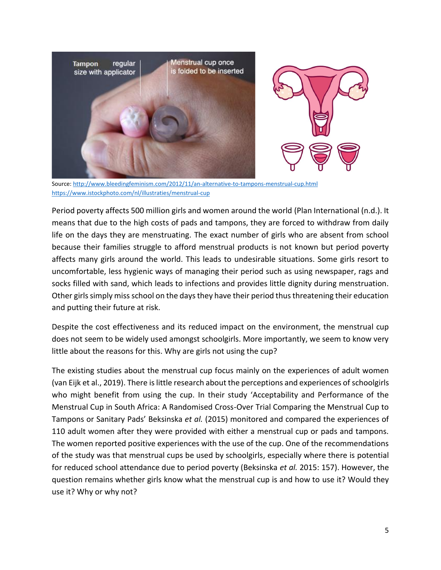

Source[: http://www.bleedingfeminism.com/2012/11/an-alternative-to-tampons-menstrual-cup.html](http://www.bleedingfeminism.com/2012/11/an-alternative-to-tampons-menstrual-cup.html) <https://www.istockphoto.com/nl/illustraties/menstrual-cup>

Period poverty affects 500 million girls and women around the world (Plan International (n.d.). It means that due to the high costs of pads and tampons, they are forced to withdraw from daily life on the days they are menstruating. The exact number of girls who are absent from school because their families struggle to afford menstrual products is not known but period poverty affects many girls around the world. This leads to undesirable situations. Some girls resort to uncomfortable, less hygienic ways of managing their period such as using newspaper, rags and socks filled with sand, which leads to infections and provides little dignity during menstruation. Other girls simply miss school on the days they have their period thus threatening their education and putting their future at risk.

Despite the cost effectiveness and its reduced impact on the environment, the menstrual cup does not seem to be widely used amongst schoolgirls. More importantly, we seem to know very little about the reasons for this. Why are girls not using the cup?

The existing studies about the menstrual cup focus mainly on the experiences of adult women (van Eijk et al., 2019). There is little research about the perceptions and experiences of schoolgirls who might benefit from using the cup. In their study 'Acceptability and Performance of the Menstrual Cup in South Africa: A Randomised Cross-Over Trial Comparing the Menstrual Cup to Tampons or Sanitary Pads' Beksinska *et al.* (2015) monitored and compared the experiences of 110 adult women after they were provided with either a menstrual cup or pads and tampons. The women reported positive experiences with the use of the cup. One of the recommendations of the study was that menstrual cups be used by schoolgirls, especially where there is potential for reduced school attendance due to period poverty (Beksinska *et al.* 2015: 157). However, the question remains whether girls know what the menstrual cup is and how to use it? Would they use it? Why or why not?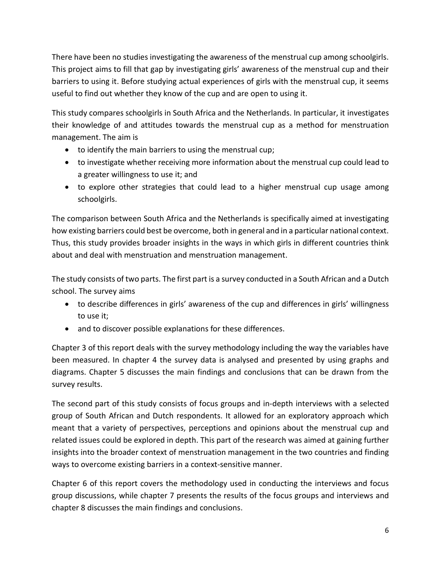There have been no studies investigating the awareness of the menstrual cup among schoolgirls. This project aims to fill that gap by investigating girls' awareness of the menstrual cup and their barriers to using it. Before studying actual experiences of girls with the menstrual cup, it seems useful to find out whether they know of the cup and are open to using it.

This study compares schoolgirls in South Africa and the Netherlands. In particular, it investigates their knowledge of and attitudes towards the menstrual cup as a method for menstruation management. The aim is

- to identify the main barriers to using the menstrual cup;
- to investigate whether receiving more information about the menstrual cup could lead to a greater willingness to use it; and
- to explore other strategies that could lead to a higher menstrual cup usage among schoolgirls.

The comparison between South Africa and the Netherlands is specifically aimed at investigating how existing barriers could best be overcome, both in general and in a particular national context. Thus, this study provides broader insights in the ways in which girls in different countries think about and deal with menstruation and menstruation management.

The study consists of two parts. The first part is a survey conducted in a South African and a Dutch school. The survey aims

- to describe differences in girls' awareness of the cup and differences in girls' willingness to use it;
- and to discover possible explanations for these differences.

Chapter 3 of this report deals with the survey methodology including the way the variables have been measured. In chapter 4 the survey data is analysed and presented by using graphs and diagrams. Chapter 5 discusses the main findings and conclusions that can be drawn from the survey results.

The second part of this study consists of focus groups and in-depth interviews with a selected group of South African and Dutch respondents. It allowed for an exploratory approach which meant that a variety of perspectives, perceptions and opinions about the menstrual cup and related issues could be explored in depth. This part of the research was aimed at gaining further insights into the broader context of menstruation management in the two countries and finding ways to overcome existing barriers in a context-sensitive manner.

Chapter 6 of this report covers the methodology used in conducting the interviews and focus group discussions, while chapter 7 presents the results of the focus groups and interviews and chapter 8 discusses the main findings and conclusions.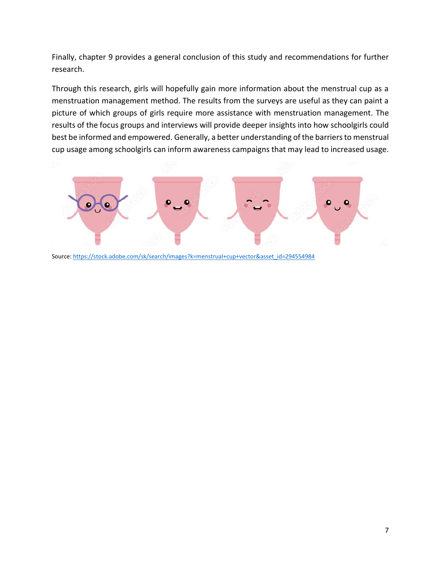Finally, chapter 9 provides a general conclusion of this study and recommendations for further research.

Through this research, girls will hopefully gain more information about the menstrual cup as a menstruation management method. The results from the surveys are useful as they can paint a picture of which groups of girls require more assistance with menstruation management. The results of the focus groups and interviews will provide deeper insights into how schoolgirls could best be informed and empowered. Generally, a better understanding of the barriers to menstrual cup usage among schoolgirls can inform awareness campaigns that may lead to increased usage.



Source[: https://stock.adobe.com/sk/search/images?k=menstrual+cup+vector&asset\\_id=294554984](https://stock.adobe.com/sk/search/images?k=menstrual+cup+vector&asset_id=294554984)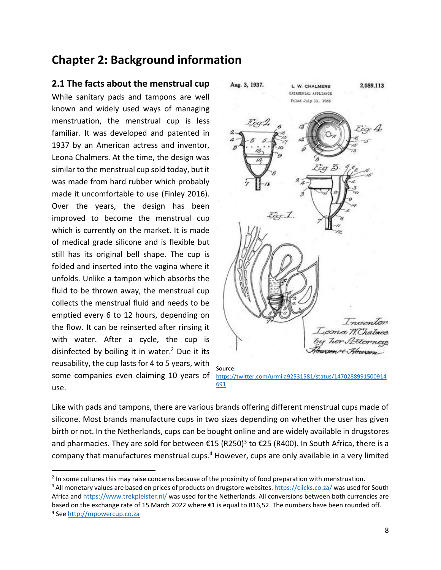# <span id="page-7-0"></span>**Chapter 2: Background information**

### <span id="page-7-1"></span>**2.1 The facts about the menstrual cup**

While sanitary pads and tampons are well known and widely used ways of managing menstruation, the menstrual cup is less familiar. It was developed and patented in 1937 by an American actress and inventor, Leona Chalmers. At the time, the design was similar to the menstrual cup sold today, but it was made from hard rubber which probably made it uncomfortable to use (Finley 2016). Over the years, the design has been improved to become the menstrual cup which is currently on the market. It is made of medical grade silicone and is flexible but still has its original bell shape. The cup is folded and inserted into the vagina where it unfolds. Unlike a tampon which absorbs the fluid to be thrown away, the menstrual cup collects the menstrual fluid and needs to be emptied every 6 to 12 hours, depending on the flow. It can be reinserted after rinsing it with water. After a cycle, the cup is disinfected by boiling it in water. $2$  Due it its reusability, the cup lasts for 4 to 5 years, with some companies even claiming 10 years of use.



Like with pads and tampons, there are various brands offering different menstrual cups made of silicone. Most brands manufacture cups in two sizes depending on whether the user has given birth or not. In the Netherlands, cups can be bought online and are widely available in drugstores and pharmacies. They are sold for between €15 (R250)<sup>3</sup> to €25 (R400). In South Africa, there is a company that manufactures menstrual cups.<sup>4</sup> However, cups are only available in a very limited

<sup>3</sup> All monetary values are based on prices of products on drugstore websites[. https://clicks.co.za/](https://clicks.co.za/) was used for South Africa an[d https://www.trekpleister.nl/](https://www.trekpleister.nl/) was used for the Netherlands. All conversions between both currencies are based on the exchange rate of 15 March 2022 where €1 is equal to R16,52. The numbers have been rounded off. <sup>4</sup> See [http://mpowercup.co.za](http://mpowercup.co.za/)

<sup>&</sup>lt;sup>2</sup> In some cultures this may raise concerns because of the proximity of food preparation with menstruation.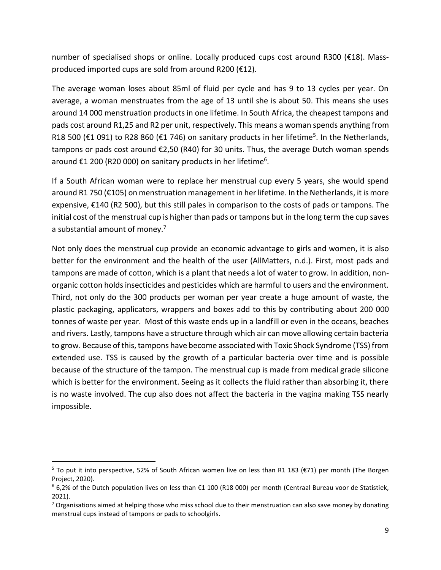number of specialised shops or online. Locally produced cups cost around R300 (€18). Massproduced imported cups are sold from around R200 (€12).

The average woman loses about 85ml of fluid per cycle and has 9 to 13 cycles per year. On average, a woman menstruates from the age of 13 until she is about 50. This means she uses around 14 000 menstruation products in one lifetime. In South Africa, the cheapest tampons and pads cost around R1,25 and R2 per unit, respectively. This means a woman spends anything from R18 500 (€1 091) to R28 860 (€1 746) on sanitary products in her lifetime<sup>5</sup>. In the Netherlands, tampons or pads cost around €2,50 (R40) for 30 units. Thus, the average Dutch woman spends around €1 200 (R20 000) on sanitary products in her lifetime<sup>6</sup>.

If a South African woman were to replace her menstrual cup every 5 years, she would spend around R1 750 (€105) on menstruation management in her lifetime. In the Netherlands, it is more expensive, €140 (R2 500), but this still pales in comparison to the costs of pads or tampons. The initial cost of the menstrual cup is higher than pads or tampons but in the long term the cup saves a substantial amount of money.<sup>7</sup>

Not only does the menstrual cup provide an economic advantage to girls and women, it is also better for the environment and the health of the user (AllMatters, n.d.). First, most pads and tampons are made of cotton, which is a plant that needs a lot of water to grow. In addition, nonorganic cotton holds insecticides and pesticides which are harmful to users and the environment. Third, not only do the 300 products per woman per year create a huge amount of waste, the plastic packaging, applicators, wrappers and boxes add to this by contributing about 200 000 tonnes of waste per year. Most of this waste ends up in a landfill or even in the oceans, beaches and rivers. Lastly, tampons have a structure through which air can move allowing certain bacteria to grow. Because of this, tampons have become associated with Toxic Shock Syndrome (TSS) from extended use. TSS is caused by the growth of a particular bacteria over time and is possible because of the structure of the tampon. The menstrual cup is made from medical grade silicone which is better for the environment. Seeing as it collects the fluid rather than absorbing it, there is no waste involved. The cup also does not affect the bacteria in the vagina making TSS nearly impossible.

<span id="page-8-0"></span><sup>&</sup>lt;sup>5</sup> To put it into perspective, 52% of South African women live on less than R1 183 (€71) per month (The Borgen Project, 2020).

 $6$  6,2% of the Dutch population lives on less than €1 100 (R18 000) per month (Centraal Bureau voor de Statistiek, 2021).

 $7$  Organisations aimed at helping those who miss school due to their menstruation can also save money by donating menstrual cups instead of tampons or pads to schoolgirls.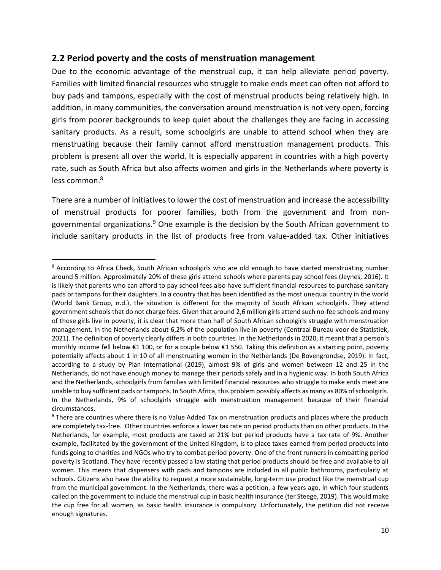### **2.2 Period poverty and the costs of menstruation management**

Due to the economic advantage of the menstrual cup, it can help alleviate period poverty. Families with limited financial resources who struggle to make ends meet can often not afford to buy pads and tampons, especially with the cost of menstrual products being relatively high. In addition, in many communities, the conversation around menstruation is not very open, forcing girls from poorer backgrounds to keep quiet about the challenges they are facing in accessing sanitary products. As a result, some schoolgirls are unable to attend school when they are menstruating because their family cannot afford menstruation management products. This problem is present all over the world. It is especially apparent in countries with a high poverty rate, such as South Africa but also affects women and girls in the Netherlands where poverty is less common.<sup>8</sup>

There are a number of initiatives to lower the cost of menstruation and increase the accessibility of menstrual products for poorer families, both from the government and from nongovernmental organizations.<sup>9</sup> One example is the decision by the South African government to include sanitary products in the list of products free from value-added tax. Other initiatives

<sup>&</sup>lt;sup>8</sup> According to Africa Check, South African schoolgirls who are old enough to have started menstruating number around 5 million. Approximately 20% of these girls attend schools where parents pay school fees (Jeynes, 2016). It is likely that parents who can afford to pay school fees also have sufficient financial resources to purchase sanitary pads or tampons for their daughters. In a country that has been identified as the most unequal country in the world (World Bank Group, n.d.), the situation is different for the majority of South African schoolgirls. They attend government schools that do not charge fees. Given that around 2,6 million girls attend such no-fee schools and many of those girls live in poverty, it is clear that more than half of South African schoolgirls struggle with menstruation management. In the Netherlands about 6,2% of the population live in poverty (Centraal Bureau voor de Statistiek, 2021). The definition of poverty clearly differs in both countries. In the Netherlands in 2020, it meant that a person's monthly income fell below €1 100, or for a couple below €1 550. Taking this definition as a starting point, poverty potentially affects about 1 in 10 of all menstruating women in the Netherlands (De Bovengrondse, 2019). In fact, according to a study by Plan International (2019), almost 9% of girls and women between 12 and 25 in the Netherlands, do not have enough money to manage their periods safely and in a hygienic way. In both South Africa and the Netherlands, schoolgirls from families with limited financial resources who struggle to make ends meet are unable to buy sufficient pads or tampons. In South Africa, this problem possibly affects as many as 80% of schoolgirls. In the Netherlands, 9% of schoolgirls struggle with menstruation management because of their financial circumstances.

<sup>&</sup>lt;sup>9</sup> There are countries where there is no Value Added Tax on menstruation products and places where the products are completely tax-free. Other countries enforce a lower tax rate on period products than on other products. In the Netherlands, for example, most products are taxed at 21% but period products have a tax rate of 9%. Another example, facilitated by the government of the United Kingdom, is to place taxes earned from period products into funds going to charities and NGOs who try to combat period poverty. One of the front runners in combatting period poverty is Scotland. They have recently passed a law stating that period products should be free and available to all women. This means that dispensers with pads and tampons are included in all public bathrooms, particularly at schools. Citizens also have the ability to request a more sustainable, long-term use product like the menstrual cup from the municipal government. In the Netherlands, there was a petition, a few years ago, in which four students called on the government to include the menstrual cup in basic health insurance (ter Steege, 2019). This would make the cup free for all women, as basic health insurance is compulsory. Unfortunately, the petition did not receive enough signatures.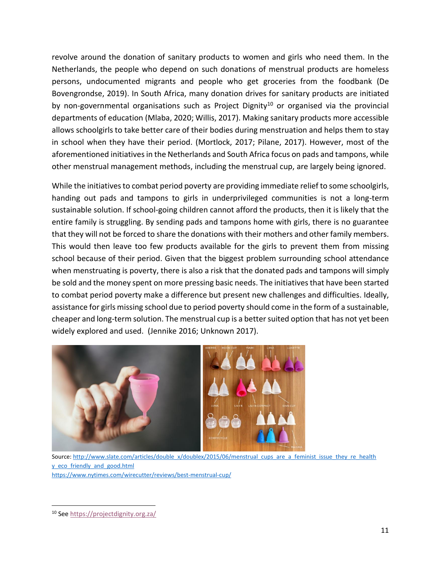revolve around the donation of sanitary products to women and girls who need them. In the Netherlands, the people who depend on such donations of menstrual products are homeless persons, undocumented migrants and people who get groceries from the foodbank (De Bovengrondse, 2019). In South Africa, many donation drives for sanitary products are initiated by non-governmental organisations such as Project Dignity<sup>10</sup> or organised via the provincial departments of education (Mlaba, 2020; Willis, 2017). Making sanitary products more accessible allows schoolgirls to take better care of their bodies during menstruation and helps them to stay in school when they have their period. (Mortlock, 2017; Pilane, 2017). However, most of the aforementioned initiatives in the Netherlands and South Africa focus on pads and tampons, while other menstrual management methods, including the menstrual cup, are largely being ignored.

While the initiatives to combat period poverty are providing immediate relief to some schoolgirls, handing out pads and tampons to girls in underprivileged communities is not a long-term sustainable solution. If school-going children cannot afford the products, then it is likely that the entire family is struggling. By sending pads and tampons home with girls, there is no guarantee that they will not be forced to share the donations with their mothers and other family members. This would then leave too few products available for the girls to prevent them from missing school because of their period. Given that the biggest problem surrounding school attendance when menstruating is poverty, there is also a risk that the donated pads and tampons will simply be sold and the money spent on more pressing basic needs. The initiatives that have been started to combat period poverty make a difference but present new challenges and difficulties. Ideally, assistance for girls missing school due to period poverty should come in the form of a sustainable, cheaper and long-term solution. The menstrual cup is a better suited option that has not yet been widely explored and used. (Jennike 2016; Unknown 2017).



Source[: http://www.slate.com/articles/double\\_x/doublex/2015/06/menstrual\\_cups\\_are\\_a\\_feminist\\_issue\\_they\\_re\\_health](http://www.slate.com/articles/double_x/doublex/2015/06/menstrual_cups_are_a_feminist_issue_they_re_health%20y_eco_friendly_and_good.html) [y\\_eco\\_friendly\\_and\\_good.html](http://www.slate.com/articles/double_x/doublex/2015/06/menstrual_cups_are_a_feminist_issue_they_re_health%20y_eco_friendly_and_good.html) <https://www.nytimes.com/wirecutter/reviews/best-menstrual-cup/>

<sup>10</sup> Se[e https://projectdignity.org.za/](https://projectdignity.org.za/)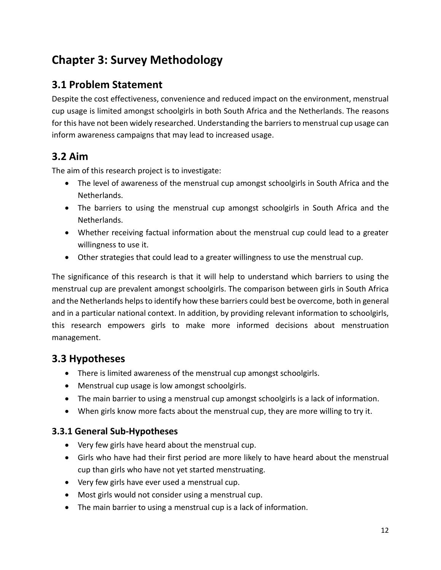# <span id="page-11-0"></span>**Chapter 3: Survey Methodology**

# <span id="page-11-1"></span>**3.1 Problem Statement**

Despite the cost effectiveness, convenience and reduced impact on the environment, menstrual cup usage is limited amongst schoolgirls in both South Africa and the Netherlands. The reasons for this have not been widely researched. Understanding the barriers to menstrual cup usage can inform awareness campaigns that may lead to increased usage.

# <span id="page-11-2"></span>**3.2 Aim**

The aim of this research project is to investigate:

- The level of awareness of the menstrual cup amongst schoolgirls in South Africa and the Netherlands.
- The barriers to using the menstrual cup amongst schoolgirls in South Africa and the Netherlands.
- Whether receiving factual information about the menstrual cup could lead to a greater willingness to use it.
- Other strategies that could lead to a greater willingness to use the menstrual cup.

The significance of this research is that it will help to understand which barriers to using the menstrual cup are prevalent amongst schoolgirls. The comparison between girls in South Africa and the Netherlands helps to identify how these barriers could best be overcome, both in general and in a particular national context. In addition, by providing relevant information to schoolgirls, this research empowers girls to make more informed decisions about menstruation management.

# <span id="page-11-3"></span>**3.3 Hypotheses**

- There is limited awareness of the menstrual cup amongst schoolgirls.
- Menstrual cup usage is low amongst schoolgirls.
- The main barrier to using a menstrual cup amongst schoolgirls is a lack of information.
- When girls know more facts about the menstrual cup, they are more willing to try it.

### <span id="page-11-4"></span>**3.3.1 General Sub-Hypotheses**

- Very few girls have heard about the menstrual cup.
- Girls who have had their first period are more likely to have heard about the menstrual cup than girls who have not yet started menstruating.
- Very few girls have ever used a menstrual cup.
- Most girls would not consider using a menstrual cup.
- The main barrier to using a menstrual cup is a lack of information.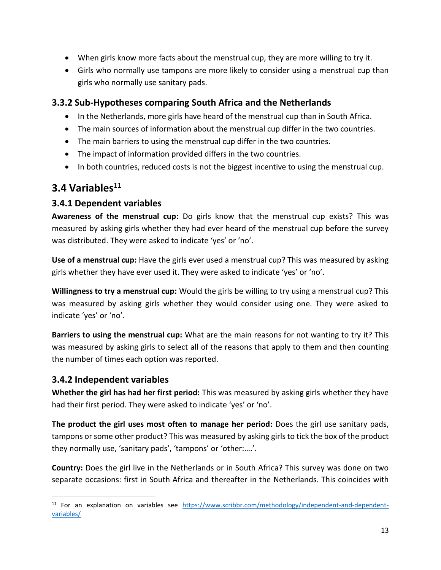- When girls know more facts about the menstrual cup, they are more willing to try it.
- Girls who normally use tampons are more likely to consider using a menstrual cup than girls who normally use sanitary pads.

### <span id="page-12-0"></span>**3.3.2 Sub-Hypotheses comparing South Africa and the Netherlands**

- In the Netherlands, more girls have heard of the menstrual cup than in South Africa.
- The main sources of information about the menstrual cup differ in the two countries.
- The main barriers to using the menstrual cup differ in the two countries.
- The impact of information provided differs in the two countries.
- In both countries, reduced costs is not the biggest incentive to using the menstrual cup.

# <span id="page-12-1"></span>**3.4 Variables<sup>11</sup>**

### <span id="page-12-2"></span>**3.4.1 Dependent variables**

**Awareness of the menstrual cup:** Do girls know that the menstrual cup exists? This was measured by asking girls whether they had ever heard of the menstrual cup before the survey was distributed. They were asked to indicate 'yes' or 'no'.

**Use of a menstrual cup:** Have the girls ever used a menstrual cup? This was measured by asking girls whether they have ever used it. They were asked to indicate 'yes' or 'no'.

**Willingness to try a menstrual cup:** Would the girls be willing to try using a menstrual cup? This was measured by asking girls whether they would consider using one. They were asked to indicate 'yes' or 'no'.

**Barriers to using the menstrual cup:** What are the main reasons for not wanting to try it? This was measured by asking girls to select all of the reasons that apply to them and then counting the number of times each option was reported.

### <span id="page-12-3"></span>**3.4.2 Independent variables**

**Whether the girl has had her first period:** This was measured by asking girls whether they have had their first period. They were asked to indicate 'yes' or 'no'.

**The product the girl uses most often to manage her period:** Does the girl use sanitary pads, tampons or some other product? This was measured by asking girls to tick the box of the product they normally use, 'sanitary pads', 'tampons' or 'other:….'.

**Country:** Does the girl live in the Netherlands or in South Africa? This survey was done on two separate occasions: first in South Africa and thereafter in the Netherlands. This coincides with

<sup>&</sup>lt;sup>11</sup> For an explanation on variables see [https://www.scribbr.com/methodology/independent-and-dependent](https://www.scribbr.com/methodology/independent-and-dependent-variables/)[variables/](https://www.scribbr.com/methodology/independent-and-dependent-variables/)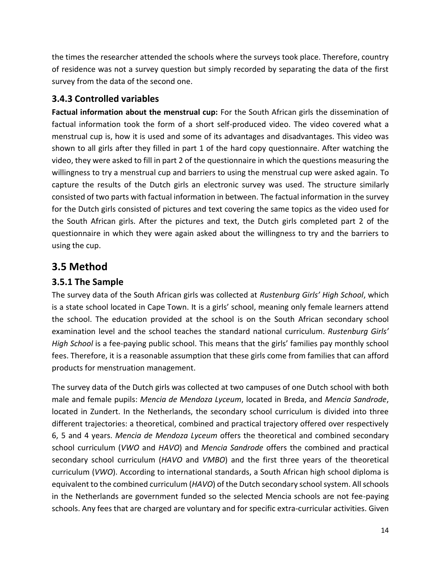the times the researcher attended the schools where the surveys took place. Therefore, country of residence was not a survey question but simply recorded by separating the data of the first survey from the data of the second one.

### <span id="page-13-0"></span>**3.4.3 Controlled variables**

**Factual information about the menstrual cup:** For the South African girls the dissemination of factual information took the form of a short self-produced video. The video covered what a menstrual cup is, how it is used and some of its advantages and disadvantages. This video was shown to all girls after they filled in part 1 of the hard copy questionnaire. After watching the video, they were asked to fill in part 2 of the questionnaire in which the questions measuring the willingness to try a menstrual cup and barriers to using the menstrual cup were asked again. To capture the results of the Dutch girls an electronic survey was used. The structure similarly consisted of two parts with factual information in between. The factual information in the survey for the Dutch girls consisted of pictures and text covering the same topics as the video used for the South African girls. After the pictures and text, the Dutch girls completed part 2 of the questionnaire in which they were again asked about the willingness to try and the barriers to using the cup.

# <span id="page-13-1"></span>**3.5 Method**

### <span id="page-13-2"></span>**3.5.1 The Sample**

The survey data of the South African girls was collected at *Rustenburg Girls' High School*, which is a state school located in Cape Town. It is a girls' school, meaning only female learners attend the school. The education provided at the school is on the South African secondary school examination level and the school teaches the standard national curriculum. *Rustenburg Girls' High School* is a fee-paying public school. This means that the girls' families pay monthly school fees. Therefore, it is a reasonable assumption that these girls come from families that can afford products for menstruation management.

The survey data of the Dutch girls was collected at two campuses of one Dutch school with both male and female pupils: *Mencia de Mendoza Lyceum*, located in Breda, and *Mencia Sandrode*, located in Zundert. In the Netherlands, the secondary school curriculum is divided into three different trajectories: a theoretical, combined and practical trajectory offered over respectively 6, 5 and 4 years. *Mencia de Mendoza Lyceum* offers the theoretical and combined secondary school curriculum (*VWO* and *HAVO*) and *Mencia Sandrode* offers the combined and practical secondary school curriculum (*HAVO* and *VMBO*) and the first three years of the theoretical curriculum (*VWO*). According to international standards, a South African high school diploma is equivalent to the combined curriculum (*HAVO*) of the Dutch secondary school system. All schools in the Netherlands are government funded so the selected Mencia schools are not fee-paying schools. Any fees that are charged are voluntary and for specific extra-curricular activities. Given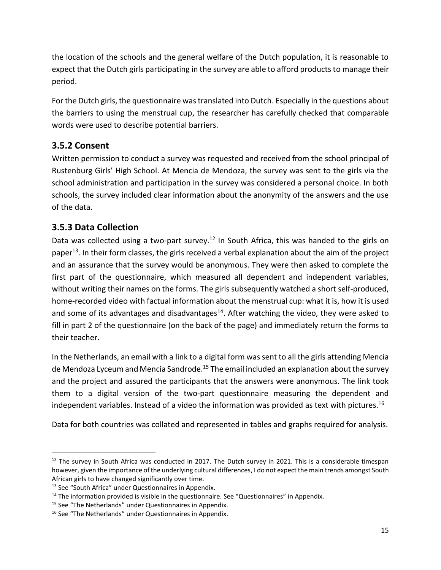the location of the schools and the general welfare of the Dutch population, it is reasonable to expect that the Dutch girls participating in the survey are able to afford products to manage their period.

For the Dutch girls, the questionnaire was translated into Dutch. Especially in the questions about the barriers to using the menstrual cup, the researcher has carefully checked that comparable words were used to describe potential barriers.

### <span id="page-14-0"></span>**3.5.2 Consent**

Written permission to conduct a survey was requested and received from the school principal of Rustenburg Girls' High School. At Mencia de Mendoza, the survey was sent to the girls via the school administration and participation in the survey was considered a personal choice. In both schools, the survey included clear information about the anonymity of the answers and the use of the data.

### <span id="page-14-1"></span>**3.5.3 Data Collection**

Data was collected using a two-part survey.<sup>12</sup> In South Africa, this was handed to the girls on paper<sup>13</sup>. In their form classes, the girls received a verbal explanation about the aim of the project and an assurance that the survey would be anonymous. They were then asked to complete the first part of the questionnaire, which measured all dependent and independent variables, without writing their names on the forms. The girls subsequently watched a short self-produced, home-recorded video with factual information about the menstrual cup: what it is, how it is used and some of its advantages and disadvantages<sup>14</sup>. After watching the video, they were asked to fill in part 2 of the questionnaire (on the back of the page) and immediately return the forms to their teacher.

In the Netherlands, an email with a link to a digital form was sent to all the girls attending Mencia de Mendoza Lyceum and Mencia Sandrode.<sup>15</sup> The email included an explanation about the survey and the project and assured the participants that the answers were anonymous. The link took them to a digital version of the two-part questionnaire measuring the dependent and independent variables. Instead of a video the information was provided as text with pictures.<sup>16</sup>

Data for both countries was collated and represented in tables and graphs required for analysis.

 $12$  The survey in South Africa was conducted in 2017. The Dutch survey in 2021. This is a considerable timespan however, given the importance of the underlying cultural differences, I do not expect the main trends amongst South African girls to have changed significantly over time.

<sup>&</sup>lt;sup>13</sup> See "South Africa" under Questionnaires in Appendix.

 $14$  The information provided is visible in the questionnaire. See "Questionnaires" in Appendix.

<sup>&</sup>lt;sup>15</sup> See "The Netherlands" under Questionnaires in Appendix.

<sup>&</sup>lt;sup>16</sup> See "The Netherlands" under Questionnaires in Appendix.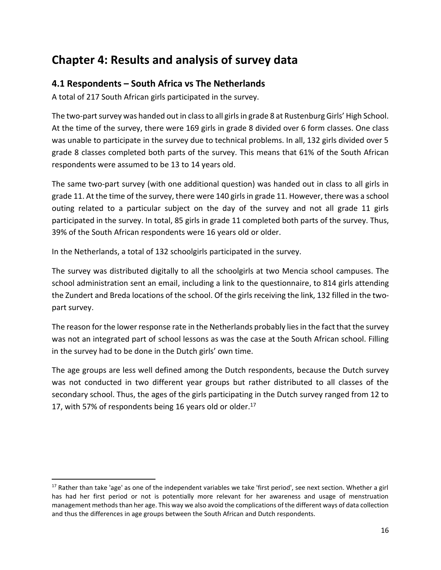# <span id="page-15-0"></span>**Chapter 4: Results and analysis of survey data**

### <span id="page-15-1"></span>**4.1 Respondents – South Africa vs The Netherlands**

A total of 217 South African girls participated in the survey.

The two-part survey was handed out in class to all girls in grade 8 at Rustenburg Girls' High School. At the time of the survey, there were 169 girls in grade 8 divided over 6 form classes. One class was unable to participate in the survey due to technical problems. In all, 132 girls divided over 5 grade 8 classes completed both parts of the survey. This means that 61% of the South African respondents were assumed to be 13 to 14 years old.

The same two-part survey (with one additional question) was handed out in class to all girls in grade 11. At the time of the survey, there were 140 girls in grade 11. However, there was a school outing related to a particular subject on the day of the survey and not all grade 11 girls participated in the survey. In total, 85 girls in grade 11 completed both parts of the survey. Thus, 39% of the South African respondents were 16 years old or older.

In the Netherlands, a total of 132 schoolgirls participated in the survey.

The survey was distributed digitally to all the schoolgirls at two Mencia school campuses. The school administration sent an email, including a link to the questionnaire, to 814 girls attending the Zundert and Breda locations of the school. Of the girls receiving the link, 132 filled in the twopart survey.

The reason for the lower response rate in the Netherlands probably lies in the fact that the survey was not an integrated part of school lessons as was the case at the South African school. Filling in the survey had to be done in the Dutch girls' own time.

The age groups are less well defined among the Dutch respondents, because the Dutch survey was not conducted in two different year groups but rather distributed to all classes of the secondary school. Thus, the ages of the girls participating in the Dutch survey ranged from 12 to 17, with 57% of respondents being 16 years old or older.<sup>17</sup>

<sup>&</sup>lt;sup>17</sup> Rather than take 'age' as one of the independent variables we take 'first period', see next section. Whether a girl has had her first period or not is potentially more relevant for her awareness and usage of menstruation management methods than her age. This way we also avoid the complications of the different ways of data collection and thus the differences in age groups between the South African and Dutch respondents.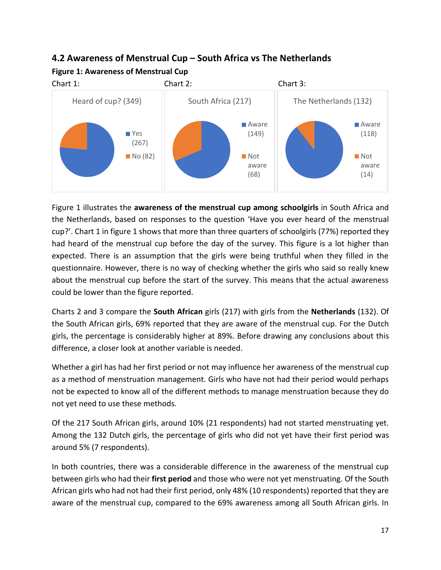# <span id="page-16-0"></span>**4.2 Awareness of Menstrual Cup – South Africa vs The Netherlands Figure 1: Awareness of Menstrual Cup**



Figure 1 illustrates the **awareness of the menstrual cup among schoolgirls** in South Africa and the Netherlands, based on responses to the question 'Have you ever heard of the menstrual cup?'. Chart 1 in figure 1 shows that more than three quarters of schoolgirls (77%) reported they had heard of the menstrual cup before the day of the survey. This figure is a lot higher than expected. There is an assumption that the girls were being truthful when they filled in the questionnaire. However, there is no way of checking whether the girls who said so really knew about the menstrual cup before the start of the survey. This means that the actual awareness could be lower than the figure reported.

Charts 2 and 3 compare the **South African** girls (217) with girls from the **Netherlands** (132). Of the South African girls, 69% reported that they are aware of the menstrual cup. For the Dutch girls, the percentage is considerably higher at 89%. Before drawing any conclusions about this difference, a closer look at another variable is needed.

Whether a girl has had her first period or not may influence her awareness of the menstrual cup as a method of menstruation management. Girls who have not had their period would perhaps not be expected to know all of the different methods to manage menstruation because they do not yet need to use these methods.

Of the 217 South African girls, around 10% (21 respondents) had not started menstruating yet. Among the 132 Dutch girls, the percentage of girls who did not yet have their first period was around 5% (7 respondents).

In both countries, there was a considerable difference in the awareness of the menstrual cup between girls who had their **first period** and those who were not yet menstruating. Of the South African girls who had not had their first period, only 48% (10 respondents) reported that they are aware of the menstrual cup, compared to the 69% awareness among all South African girls. In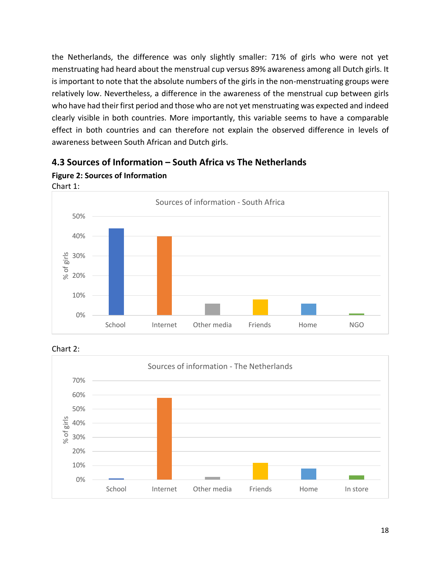the Netherlands, the difference was only slightly smaller: 71% of girls who were not yet menstruating had heard about the menstrual cup versus 89% awareness among all Dutch girls. It is important to note that the absolute numbers of the girls in the non-menstruating groups were relatively low. Nevertheless, a difference in the awareness of the menstrual cup between girls who have had their first period and those who are not yet menstruating was expected and indeed clearly visible in both countries. More importantly, this variable seems to have a comparable effect in both countries and can therefore not explain the observed difference in levels of awareness between South African and Dutch girls.



### <span id="page-17-0"></span>**4.3 Sources of Information – South Africa vs The Netherlands**





**Figure 2: Sources of Information**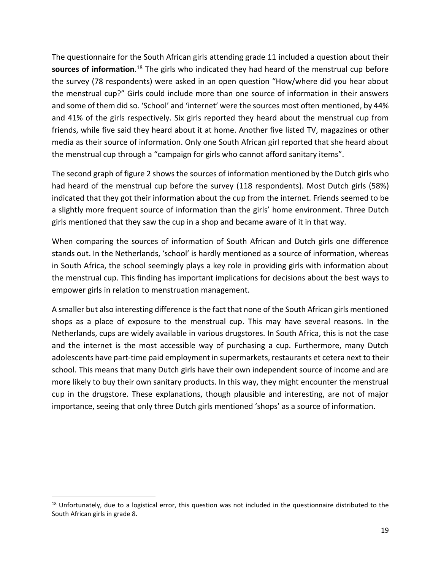The questionnaire for the South African girls attending grade 11 included a question about their sources of information.<sup>18</sup> The girls who indicated they had heard of the menstrual cup before the survey (78 respondents) were asked in an open question "How/where did you hear about the menstrual cup?" Girls could include more than one source of information in their answers and some of them did so. 'School' and 'internet' were the sources most often mentioned, by 44% and 41% of the girls respectively. Six girls reported they heard about the menstrual cup from friends, while five said they heard about it at home. Another five listed TV, magazines or other media as their source of information. Only one South African girl reported that she heard about the menstrual cup through a "campaign for girls who cannot afford sanitary items".

The second graph of figure 2 shows the sources of information mentioned by the Dutch girls who had heard of the menstrual cup before the survey (118 respondents). Most Dutch girls (58%) indicated that they got their information about the cup from the internet. Friends seemed to be a slightly more frequent source of information than the girls' home environment. Three Dutch girls mentioned that they saw the cup in a shop and became aware of it in that way.

When comparing the sources of information of South African and Dutch girls one difference stands out. In the Netherlands, 'school' is hardly mentioned as a source of information, whereas in South Africa, the school seemingly plays a key role in providing girls with information about the menstrual cup. This finding has important implications for decisions about the best ways to empower girls in relation to menstruation management.

A smaller but also interesting difference is the fact that none of the South African girls mentioned shops as a place of exposure to the menstrual cup. This may have several reasons. In the Netherlands, cups are widely available in various drugstores. In South Africa, this is not the case and the internet is the most accessible way of purchasing a cup. Furthermore, many Dutch adolescents have part-time paid employment in supermarkets, restaurants et cetera next to their school. This means that many Dutch girls have their own independent source of income and are more likely to buy their own sanitary products. In this way, they might encounter the menstrual cup in the drugstore. These explanations, though plausible and interesting, are not of major importance, seeing that only three Dutch girls mentioned 'shops' as a source of information.

 $18$  Unfortunately, due to a logistical error, this question was not included in the questionnaire distributed to the South African girls in grade 8.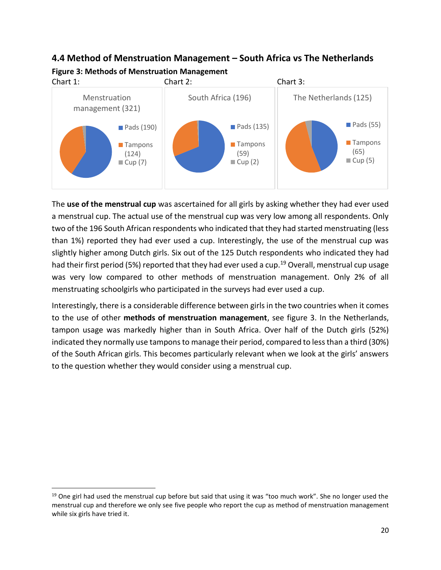### <span id="page-19-0"></span>**4.4 Method of Menstruation Management – South Africa vs The Netherlands Figure 3: Methods of Menstruation Management**



The **use of the menstrual cup** was ascertained for all girls by asking whether they had ever used a menstrual cup. The actual use of the menstrual cup was very low among all respondents. Only two of the 196 South African respondents who indicated that they had started menstruating (less than 1%) reported they had ever used a cup. Interestingly, the use of the menstrual cup was slightly higher among Dutch girls. Six out of the 125 Dutch respondents who indicated they had had their first period (5%) reported that they had ever used a cup.<sup>19</sup> Overall, menstrual cup usage was very low compared to other methods of menstruation management. Only 2% of all menstruating schoolgirls who participated in the surveys had ever used a cup.

Interestingly, there is a considerable difference between girls in the two countries when it comes to the use of other **methods of menstruation management**, see figure 3. In the Netherlands, tampon usage was markedly higher than in South Africa. Over half of the Dutch girls (52%) indicated they normally use tampons to manage their period, compared to less than a third (30%) of the South African girls. This becomes particularly relevant when we look at the girls' answers to the question whether they would consider using a menstrual cup.

 $19$  One girl had used the menstrual cup before but said that using it was "too much work". She no longer used the menstrual cup and therefore we only see five people who report the cup as method of menstruation management while six girls have tried it.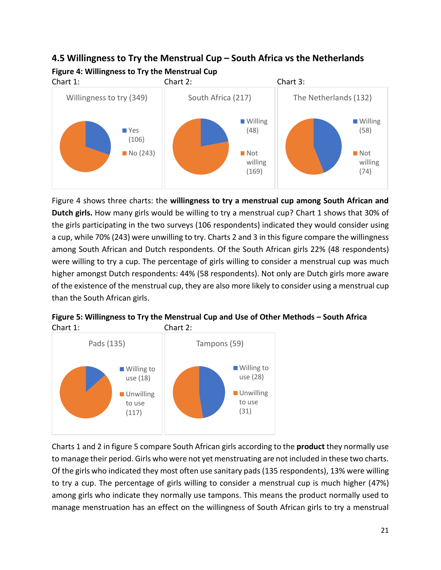# <span id="page-20-0"></span>**4.5 Willingness to Try the Menstrual Cup – South Africa vs the Netherlands Figure 4: Willingness to Try the Menstrual Cup**



Figure 4 shows three charts: the **willingness to try a menstrual cup among South African and Dutch girls.** How many girls would be willing to try a menstrual cup? Chart 1 shows that 30% of the girls participating in the two surveys (106 respondents) indicated they would consider using a cup, while 70% (243) were unwilling to try. Charts 2 and 3 in this figure compare the willingness among South African and Dutch respondents. Of the South African girls 22% (48 respondents) were willing to try a cup. The percentage of girls willing to consider a menstrual cup was much higher amongst Dutch respondents: 44% (58 respondents). Not only are Dutch girls more aware of the existence of the menstrual cup, they are also more likely to consider using a menstrual cup than the South African girls.



**Figure 5: Willingness to Try the Menstrual Cup and Use of Other Methods – South Africa** Chart 1: Chart 2:

Charts 1 and 2 in figure 5 compare South African girls according to the **product** they normally use to manage their period. Girls who were not yet menstruating are not included in these two charts. Of the girls who indicated they most often use sanitary pads (135 respondents), 13% were willing to try a cup. The percentage of girls willing to consider a menstrual cup is much higher (47%) among girls who indicate they normally use tampons. This means the product normally used to manage menstruation has an effect on the willingness of South African girls to try a menstrual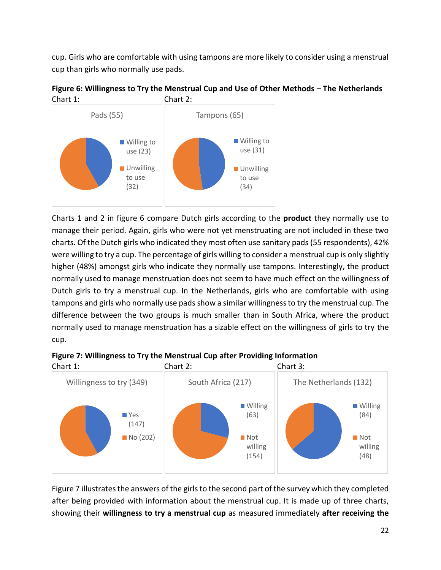cup. Girls who are comfortable with using tampons are more likely to consider using a menstrual cup than girls who normally use pads.





Charts 1 and 2 in figure 6 compare Dutch girls according to the **product** they normally use to manage their period. Again, girls who were not yet menstruating are not included in these two charts. Of the Dutch girls who indicated they most often use sanitary pads (55 respondents), 42% were willing to try a cup. The percentage of girls willing to consider a menstrual cup is only slightly higher (48%) amongst girls who indicate they normally use tampons. Interestingly, the product normally used to manage menstruation does not seem to have much effect on the willingness of Dutch girls to try a menstrual cup. In the Netherlands, girls who are comfortable with using tampons and girls who normally use pads show a similar willingness to try the menstrual cup. The difference between the two groups is much smaller than in South Africa, where the product normally used to manage menstruation has a sizable effect on the willingness of girls to try the cup.



**Figure 7: Willingness to Try the Menstrual Cup after Providing Information**

Figure 7 illustrates the answers of the girls to the second part of the survey which they completed after being provided with information about the menstrual cup. It is made up of three charts, showing their **willingness to try a menstrual cup** as measured immediately **after receiving the**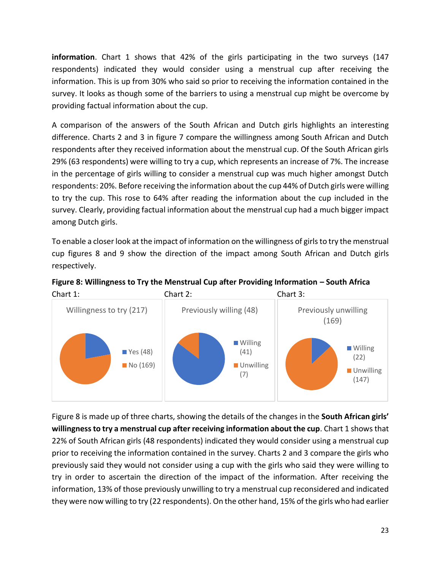**information**. Chart 1 shows that 42% of the girls participating in the two surveys (147 respondents) indicated they would consider using a menstrual cup after receiving the information. This is up from 30% who said so prior to receiving the information contained in the survey. It looks as though some of the barriers to using a menstrual cup might be overcome by providing factual information about the cup.

A comparison of the answers of the South African and Dutch girls highlights an interesting difference. Charts 2 and 3 in figure 7 compare the willingness among South African and Dutch respondents after they received information about the menstrual cup. Of the South African girls 29% (63 respondents) were willing to try a cup, which represents an increase of 7%. The increase in the percentage of girls willing to consider a menstrual cup was much higher amongst Dutch respondents: 20%. Before receiving the information about the cup 44% of Dutch girls were willing to try the cup. This rose to 64% after reading the information about the cup included in the survey. Clearly, providing factual information about the menstrual cup had a much bigger impact among Dutch girls.

To enable a closer look at the impact of information on the willingness of girls to try the menstrual cup figures 8 and 9 show the direction of the impact among South African and Dutch girls respectively.





Figure 8 is made up of three charts, showing the details of the changes in the **South African girls' willingness to try a menstrual cup after receiving information about the cup**. Chart 1 shows that 22% of South African girls (48 respondents) indicated they would consider using a menstrual cup prior to receiving the information contained in the survey. Charts 2 and 3 compare the girls who previously said they would not consider using a cup with the girls who said they were willing to try in order to ascertain the direction of the impact of the information. After receiving the information, 13% of those previously unwilling to try a menstrual cup reconsidered and indicated they were now willing to try (22 respondents). On the other hand, 15% of the girls who had earlier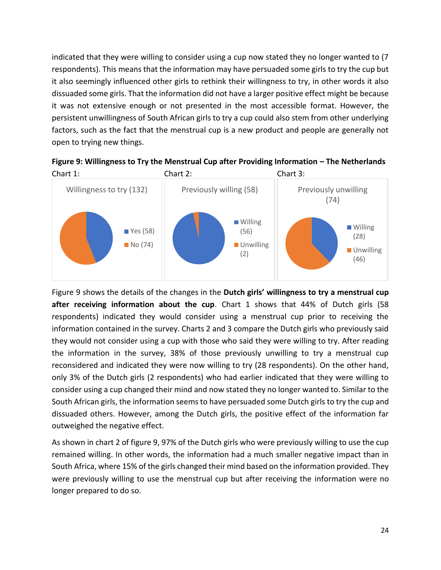indicated that they were willing to consider using a cup now stated they no longer wanted to (7 respondents). This means that the information may have persuaded some girls to try the cup but it also seemingly influenced other girls to rethink their willingness to try, in other words it also dissuaded some girls. That the information did not have a larger positive effect might be because it was not extensive enough or not presented in the most accessible format. However, the persistent unwillingness of South African girls to try a cup could also stem from other underlying factors, such as the fact that the menstrual cup is a new product and people are generally not open to trying new things.



**Figure 9: Willingness to Try the Menstrual Cup after Providing Information – The Netherlands**

Figure 9 shows the details of the changes in the **Dutch girls' willingness to try a menstrual cup after receiving information about the cup**. Chart 1 shows that 44% of Dutch girls (58 respondents) indicated they would consider using a menstrual cup prior to receiving the information contained in the survey. Charts 2 and 3 compare the Dutch girls who previously said they would not consider using a cup with those who said they were willing to try. After reading the information in the survey, 38% of those previously unwilling to try a menstrual cup reconsidered and indicated they were now willing to try (28 respondents). On the other hand, only 3% of the Dutch girls (2 respondents) who had earlier indicated that they were willing to consider using a cup changed their mind and now stated they no longer wanted to. Similar to the South African girls, the information seems to have persuaded some Dutch girls to try the cup and dissuaded others. However, among the Dutch girls, the positive effect of the information far outweighed the negative effect.

As shown in chart 2 of figure 9, 97% of the Dutch girls who were previously willing to use the cup remained willing. In other words, the information had a much smaller negative impact than in South Africa, where 15% of the girls changed their mind based on the information provided. They were previously willing to use the menstrual cup but after receiving the information were no longer prepared to do so.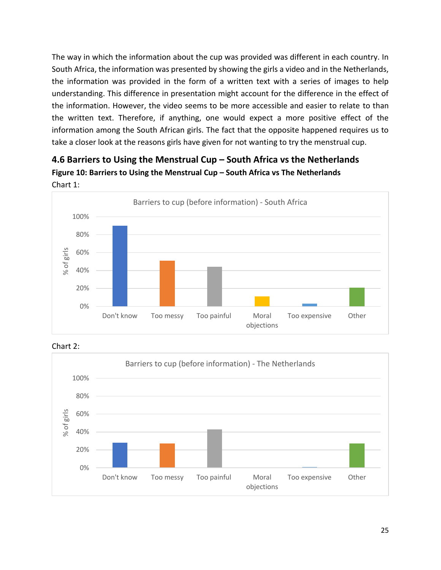The way in which the information about the cup was provided was different in each country. In South Africa, the information was presented by showing the girls a video and in the Netherlands, the information was provided in the form of a written text with a series of images to help understanding. This difference in presentation might account for the difference in the effect of the information. However, the video seems to be more accessible and easier to relate to than the written text. Therefore, if anything, one would expect a more positive effect of the information among the South African girls. The fact that the opposite happened requires us to take a closer look at the reasons girls have given for not wanting to try the menstrual cup.

### <span id="page-24-0"></span>**4.6 Barriers to Using the Menstrual Cup – South Africa vs the Netherlands Figure 10: Barriers to Using the Menstrual Cup – South Africa vs The Netherlands** Chart 1:



Chart 2:

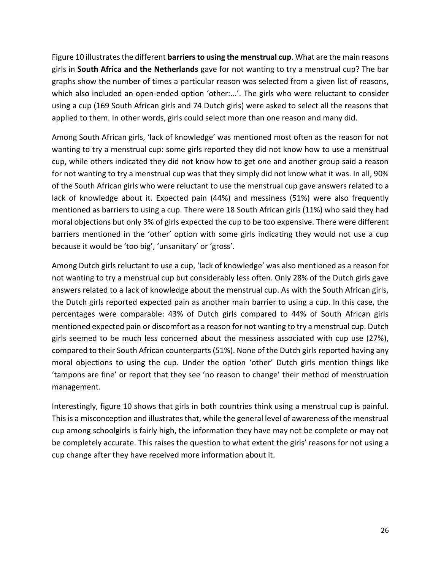Figure 10 illustrates the different **barriers to using the menstrual cup**. What are the main reasons girls in **South Africa and the Netherlands** gave for not wanting to try a menstrual cup? The bar graphs show the number of times a particular reason was selected from a given list of reasons, which also included an open-ended option 'other:...'. The girls who were reluctant to consider using a cup (169 South African girls and 74 Dutch girls) were asked to select all the reasons that applied to them. In other words, girls could select more than one reason and many did.

Among South African girls, 'lack of knowledge' was mentioned most often as the reason for not wanting to try a menstrual cup: some girls reported they did not know how to use a menstrual cup, while others indicated they did not know how to get one and another group said a reason for not wanting to try a menstrual cup was that they simply did not know what it was. In all, 90% of the South African girls who were reluctant to use the menstrual cup gave answers related to a lack of knowledge about it. Expected pain (44%) and messiness (51%) were also frequently mentioned as barriers to using a cup. There were 18 South African girls (11%) who said they had moral objections but only 3% of girls expected the cup to be too expensive. There were different barriers mentioned in the 'other' option with some girls indicating they would not use a cup because it would be 'too big', 'unsanitary' or 'gross'.

Among Dutch girls reluctant to use a cup, 'lack of knowledge' was also mentioned as a reason for not wanting to try a menstrual cup but considerably less often. Only 28% of the Dutch girls gave answers related to a lack of knowledge about the menstrual cup. As with the South African girls, the Dutch girls reported expected pain as another main barrier to using a cup. In this case, the percentages were comparable: 43% of Dutch girls compared to 44% of South African girls mentioned expected pain or discomfort as a reason for not wanting to try a menstrual cup. Dutch girls seemed to be much less concerned about the messiness associated with cup use (27%), compared to their South African counterparts (51%). None of the Dutch girls reported having any moral objections to using the cup. Under the option 'other' Dutch girls mention things like 'tampons are fine' or report that they see 'no reason to change' their method of menstruation management.

Interestingly, figure 10 shows that girls in both countries think using a menstrual cup is painful. This is a misconception and illustrates that, while the general level of awareness of the menstrual cup among schoolgirls is fairly high, the information they have may not be complete or may not be completely accurate. This raises the question to what extent the girls' reasons for not using a cup change after they have received more information about it.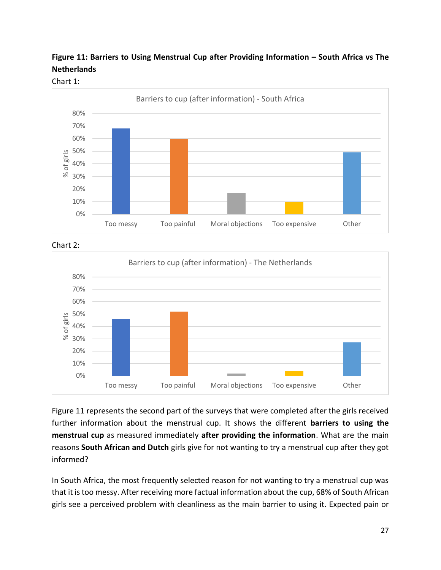





Chart 2:



Figure 11 represents the second part of the surveys that were completed after the girls received further information about the menstrual cup. It shows the different **barriers to using the menstrual cup** as measured immediately **after providing the information**. What are the main reasons **South African and Dutch** girls give for not wanting to try a menstrual cup after they got informed?

In South Africa, the most frequently selected reason for not wanting to try a menstrual cup was that it is too messy. After receiving more factual information about the cup, 68% of South African girls see a perceived problem with cleanliness as the main barrier to using it. Expected pain or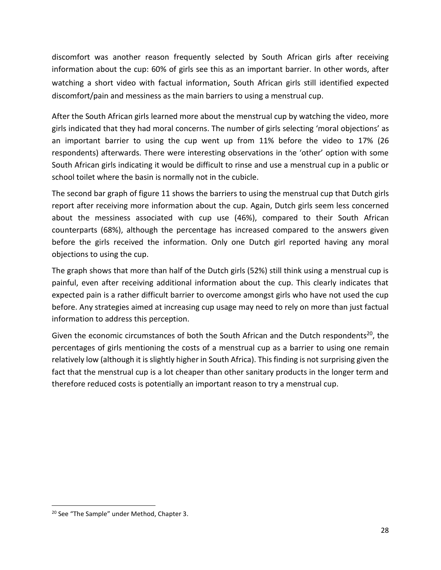discomfort was another reason frequently selected by South African girls after receiving information about the cup: 60% of girls see this as an important barrier. In other words, after watching a short video with factual information, South African girls still identified expected discomfort/pain and messiness as the main barriers to using a menstrual cup.

After the South African girls learned more about the menstrual cup by watching the video, more girls indicated that they had moral concerns. The number of girls selecting 'moral objections' as an important barrier to using the cup went up from 11% before the video to 17% (26 respondents) afterwards. There were interesting observations in the 'other' option with some South African girls indicating it would be difficult to rinse and use a menstrual cup in a public or school toilet where the basin is normally not in the cubicle.

The second bar graph of figure 11 shows the barriers to using the menstrual cup that Dutch girls report after receiving more information about the cup. Again, Dutch girls seem less concerned about the messiness associated with cup use (46%), compared to their South African counterparts (68%), although the percentage has increased compared to the answers given before the girls received the information. Only one Dutch girl reported having any moral objections to using the cup.

The graph shows that more than half of the Dutch girls (52%) still think using a menstrual cup is painful, even after receiving additional information about the cup. This clearly indicates that expected pain is a rather difficult barrier to overcome amongst girls who have not used the cup before. Any strategies aimed at increasing cup usage may need to rely on more than just factual information to address this perception.

Given the economic circumstances of both the South African and the Dutch respondents<sup>20</sup>, the percentages of girls mentioning the costs of a menstrual cup as a barrier to using one remain relatively low (although it is slightly higher in South Africa). This finding is not surprising given the fact that the menstrual cup is a lot cheaper than other sanitary products in the longer term and therefore reduced costs is potentially an important reason to try a menstrual cup.

<sup>&</sup>lt;sup>20</sup> See "The Sample" under Method, Chapter 3.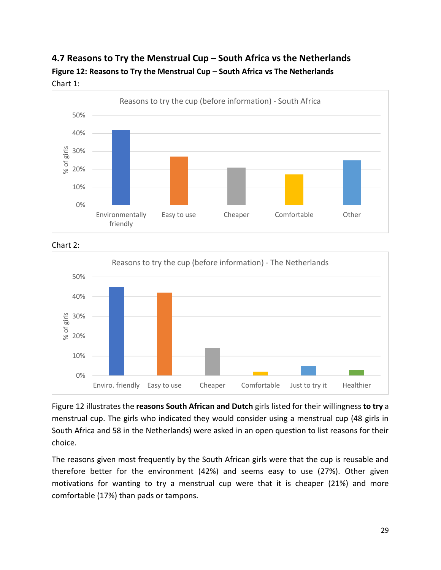### <span id="page-28-0"></span>**4.7 Reasons to Try the Menstrual Cup – South Africa vs the Netherlands Figure 12: Reasons to Try the Menstrual Cup – South Africa vs The Netherlands** Chart 1:



Chart 2:



Figure 12 illustrates the **reasons South African and Dutch** girls listed for their willingness **to try** a menstrual cup. The girls who indicated they would consider using a menstrual cup (48 girls in South Africa and 58 in the Netherlands) were asked in an open question to list reasons for their choice.

The reasons given most frequently by the South African girls were that the cup is reusable and therefore better for the environment (42%) and seems easy to use (27%). Other given motivations for wanting to try a menstrual cup were that it is cheaper (21%) and more comfortable (17%) than pads or tampons.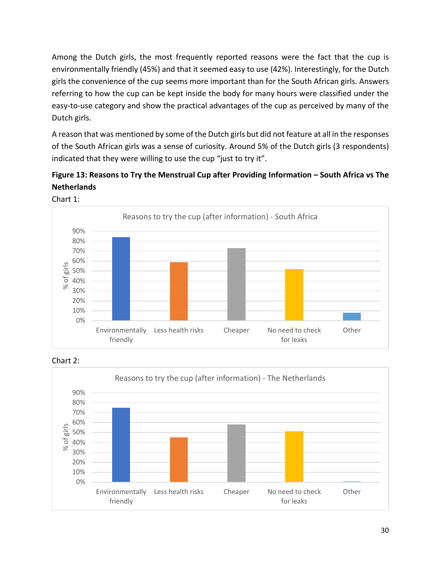Among the Dutch girls, the most frequently reported reasons were the fact that the cup is environmentally friendly (45%) and that it seemed easy to use (42%). Interestingly, for the Dutch girls the convenience of the cup seems more important than for the South African girls. Answers referring to how the cup can be kept inside the body for many hours were classified under the easy-to-use category and show the practical advantages of the cup as perceived by many of the Dutch girls.

A reason that was mentioned by some of the Dutch girls but did not feature at all in the responses of the South African girls was a sense of curiosity. Around 5% of the Dutch girls (3 respondents) indicated that they were willing to use the cup "just to try it".

### **Figure 13: Reasons to Try the Menstrual Cup after Providing Information – South Africa vs The Netherlands**



Chart 1:

Chart 2:

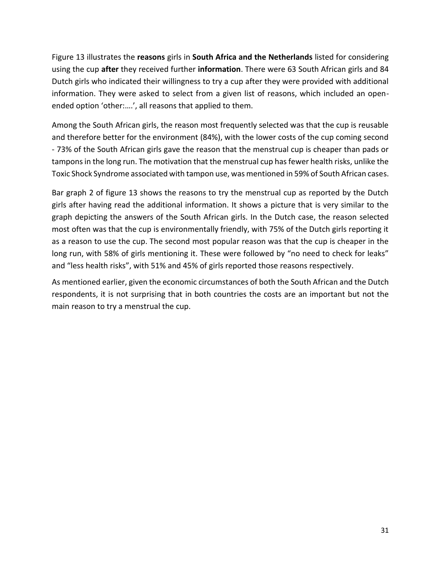Figure 13 illustrates the **reasons** girls in **South Africa and the Netherlands** listed for considering using the cup **after** they received further **information**. There were 63 South African girls and 84 Dutch girls who indicated their willingness to try a cup after they were provided with additional information. They were asked to select from a given list of reasons, which included an openended option 'other:….', all reasons that applied to them.

Among the South African girls, the reason most frequently selected was that the cup is reusable and therefore better for the environment (84%), with the lower costs of the cup coming second - 73% of the South African girls gave the reason that the menstrual cup is cheaper than pads or tampons in the long run. The motivation that the menstrual cup has fewer health risks, unlike the Toxic Shock Syndrome associated with tampon use, was mentioned in 59% of South African cases.

Bar graph 2 of figure 13 shows the reasons to try the menstrual cup as reported by the Dutch girls after having read the additional information. It shows a picture that is very similar to the graph depicting the answers of the South African girls. In the Dutch case, the reason selected most often was that the cup is environmentally friendly, with 75% of the Dutch girls reporting it as a reason to use the cup. The second most popular reason was that the cup is cheaper in the long run, with 58% of girls mentioning it. These were followed by "no need to check for leaks" and "less health risks", with 51% and 45% of girls reported those reasons respectively.

As mentioned earlier, given the economic circumstances of both the South African and the Dutch respondents, it is not surprising that in both countries the costs are an important but not the main reason to try a menstrual the cup.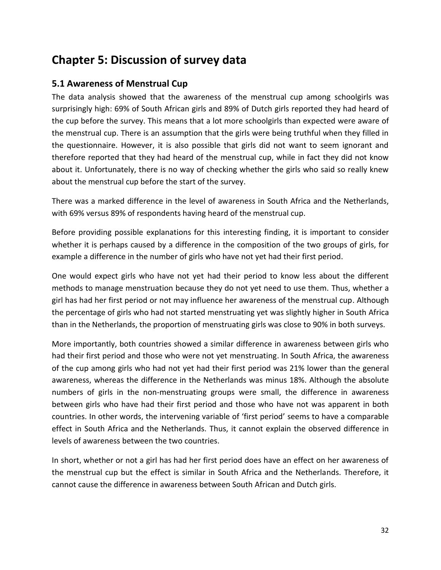# <span id="page-31-0"></span>**Chapter 5: Discussion of survey data**

### <span id="page-31-1"></span>**5.1 Awareness of Menstrual Cup**

The data analysis showed that the awareness of the menstrual cup among schoolgirls was surprisingly high: 69% of South African girls and 89% of Dutch girls reported they had heard of the cup before the survey. This means that a lot more schoolgirls than expected were aware of the menstrual cup. There is an assumption that the girls were being truthful when they filled in the questionnaire. However, it is also possible that girls did not want to seem ignorant and therefore reported that they had heard of the menstrual cup, while in fact they did not know about it. Unfortunately, there is no way of checking whether the girls who said so really knew about the menstrual cup before the start of the survey.

There was a marked difference in the level of awareness in South Africa and the Netherlands, with 69% versus 89% of respondents having heard of the menstrual cup.

Before providing possible explanations for this interesting finding, it is important to consider whether it is perhaps caused by a difference in the composition of the two groups of girls, for example a difference in the number of girls who have not yet had their first period.

One would expect girls who have not yet had their period to know less about the different methods to manage menstruation because they do not yet need to use them. Thus, whether a girl has had her first period or not may influence her awareness of the menstrual cup. Although the percentage of girls who had not started menstruating yet was slightly higher in South Africa than in the Netherlands, the proportion of menstruating girls was close to 90% in both surveys.

More importantly, both countries showed a similar difference in awareness between girls who had their first period and those who were not yet menstruating. In South Africa, the awareness of the cup among girls who had not yet had their first period was 21% lower than the general awareness, whereas the difference in the Netherlands was minus 18%. Although the absolute numbers of girls in the non-menstruating groups were small, the difference in awareness between girls who have had their first period and those who have not was apparent in both countries. In other words, the intervening variable of 'first period' seems to have a comparable effect in South Africa and the Netherlands. Thus, it cannot explain the observed difference in levels of awareness between the two countries.

In short, whether or not a girl has had her first period does have an effect on her awareness of the menstrual cup but the effect is similar in South Africa and the Netherlands. Therefore, it cannot cause the difference in awareness between South African and Dutch girls.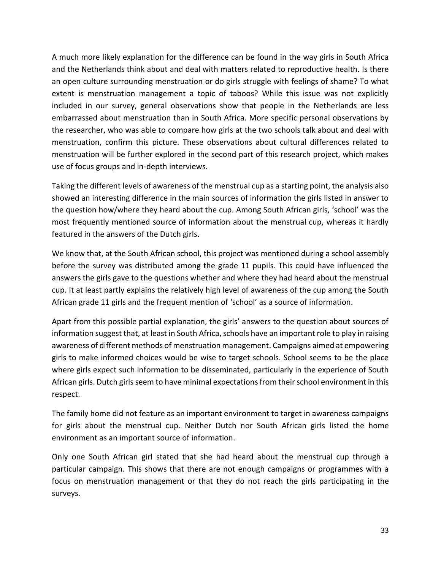A much more likely explanation for the difference can be found in the way girls in South Africa and the Netherlands think about and deal with matters related to reproductive health. Is there an open culture surrounding menstruation or do girls struggle with feelings of shame? To what extent is menstruation management a topic of taboos? While this issue was not explicitly included in our survey, general observations show that people in the Netherlands are less embarrassed about menstruation than in South Africa. More specific personal observations by the researcher, who was able to compare how girls at the two schools talk about and deal with menstruation, confirm this picture. These observations about cultural differences related to menstruation will be further explored in the second part of this research project, which makes use of focus groups and in-depth interviews.

Taking the different levels of awareness of the menstrual cup as a starting point, the analysis also showed an interesting difference in the main sources of information the girls listed in answer to the question how/where they heard about the cup. Among South African girls, 'school' was the most frequently mentioned source of information about the menstrual cup, whereas it hardly featured in the answers of the Dutch girls.

We know that, at the South African school, this project was mentioned during a school assembly before the survey was distributed among the grade 11 pupils. This could have influenced the answers the girls gave to the questions whether and where they had heard about the menstrual cup. It at least partly explains the relatively high level of awareness of the cup among the South African grade 11 girls and the frequent mention of 'school' as a source of information.

Apart from this possible partial explanation, the girls' answers to the question about sources of information suggest that, at least in South Africa, schools have an important role to play in raising awareness of different methods of menstruation management. Campaigns aimed at empowering girls to make informed choices would be wise to target schools. School seems to be the place where girls expect such information to be disseminated, particularly in the experience of South African girls. Dutch girls seem to have minimal expectations from their school environment in this respect.

The family home did not feature as an important environment to target in awareness campaigns for girls about the menstrual cup. Neither Dutch nor South African girls listed the home environment as an important source of information.

Only one South African girl stated that she had heard about the menstrual cup through a particular campaign. This shows that there are not enough campaigns or programmes with a focus on menstruation management or that they do not reach the girls participating in the surveys.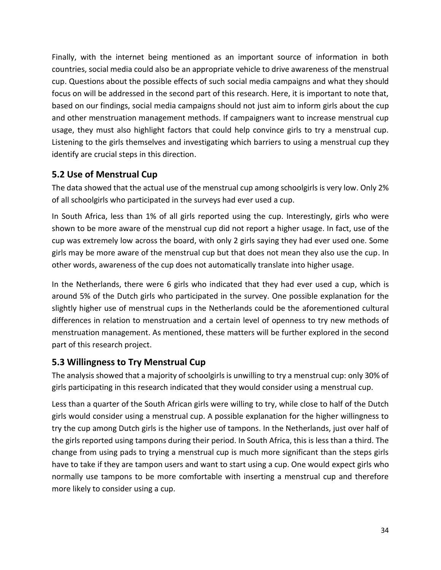Finally, with the internet being mentioned as an important source of information in both countries, social media could also be an appropriate vehicle to drive awareness of the menstrual cup. Questions about the possible effects of such social media campaigns and what they should focus on will be addressed in the second part of this research. Here, it is important to note that, based on our findings, social media campaigns should not just aim to inform girls about the cup and other menstruation management methods. If campaigners want to increase menstrual cup usage, they must also highlight factors that could help convince girls to try a menstrual cup. Listening to the girls themselves and investigating which barriers to using a menstrual cup they identify are crucial steps in this direction.

### <span id="page-33-0"></span>**5.2 Use of Menstrual Cup**

The data showed that the actual use of the menstrual cup among schoolgirls is very low. Only 2% of all schoolgirls who participated in the surveys had ever used a cup.

In South Africa, less than 1% of all girls reported using the cup. Interestingly, girls who were shown to be more aware of the menstrual cup did not report a higher usage. In fact, use of the cup was extremely low across the board, with only 2 girls saying they had ever used one. Some girls may be more aware of the menstrual cup but that does not mean they also use the cup. In other words, awareness of the cup does not automatically translate into higher usage.

In the Netherlands, there were 6 girls who indicated that they had ever used a cup, which is around 5% of the Dutch girls who participated in the survey. One possible explanation for the slightly higher use of menstrual cups in the Netherlands could be the aforementioned cultural differences in relation to menstruation and a certain level of openness to try new methods of menstruation management. As mentioned, these matters will be further explored in the second part of this research project.

### <span id="page-33-1"></span>**5.3 Willingness to Try Menstrual Cup**

The analysis showed that a majority of schoolgirls is unwilling to try a menstrual cup: only 30% of girls participating in this research indicated that they would consider using a menstrual cup.

Less than a quarter of the South African girls were willing to try, while close to half of the Dutch girls would consider using a menstrual cup. A possible explanation for the higher willingness to try the cup among Dutch girls is the higher use of tampons. In the Netherlands, just over half of the girls reported using tampons during their period. In South Africa, this is less than a third. The change from using pads to trying a menstrual cup is much more significant than the steps girls have to take if they are tampon users and want to start using a cup. One would expect girls who normally use tampons to be more comfortable with inserting a menstrual cup and therefore more likely to consider using a cup.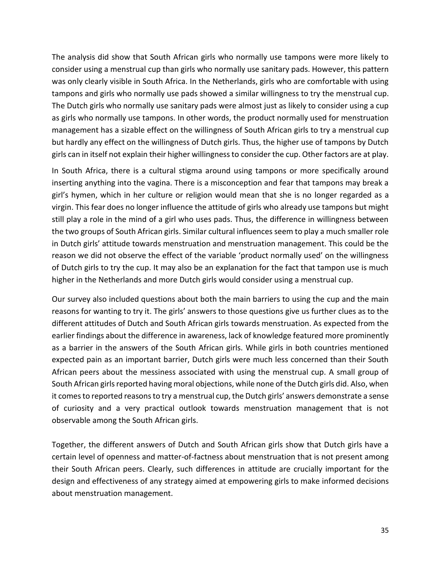The analysis did show that South African girls who normally use tampons were more likely to consider using a menstrual cup than girls who normally use sanitary pads. However, this pattern was only clearly visible in South Africa. In the Netherlands, girls who are comfortable with using tampons and girls who normally use pads showed a similar willingness to try the menstrual cup. The Dutch girls who normally use sanitary pads were almost just as likely to consider using a cup as girls who normally use tampons. In other words, the product normally used for menstruation management has a sizable effect on the willingness of South African girls to try a menstrual cup but hardly any effect on the willingness of Dutch girls. Thus, the higher use of tampons by Dutch girls can in itself not explain their higher willingness to consider the cup. Other factors are at play.

In South Africa, there is a cultural stigma around using tampons or more specifically around inserting anything into the vagina. There is a misconception and fear that tampons may break a girl's hymen, which in her culture or religion would mean that she is no longer regarded as a virgin. This fear does no longer influence the attitude of girls who already use tampons but might still play a role in the mind of a girl who uses pads. Thus, the difference in willingness between the two groups of South African girls. Similar cultural influences seem to play a much smaller role in Dutch girls' attitude towards menstruation and menstruation management. This could be the reason we did not observe the effect of the variable 'product normally used' on the willingness of Dutch girls to try the cup. It may also be an explanation for the fact that tampon use is much higher in the Netherlands and more Dutch girls would consider using a menstrual cup.

Our survey also included questions about both the main barriers to using the cup and the main reasons for wanting to try it. The girls' answers to those questions give us further clues as to the different attitudes of Dutch and South African girls towards menstruation. As expected from the earlier findings about the difference in awareness, lack of knowledge featured more prominently as a barrier in the answers of the South African girls. While girls in both countries mentioned expected pain as an important barrier, Dutch girls were much less concerned than their South African peers about the messiness associated with using the menstrual cup. A small group of South African girls reported having moral objections, while none of the Dutch girls did. Also, when it comes to reported reasons to try a menstrual cup, the Dutch girls' answers demonstrate a sense of curiosity and a very practical outlook towards menstruation management that is not observable among the South African girls.

Together, the different answers of Dutch and South African girls show that Dutch girls have a certain level of openness and matter-of-factness about menstruation that is not present among their South African peers. Clearly, such differences in attitude are crucially important for the design and effectiveness of any strategy aimed at empowering girls to make informed decisions about menstruation management.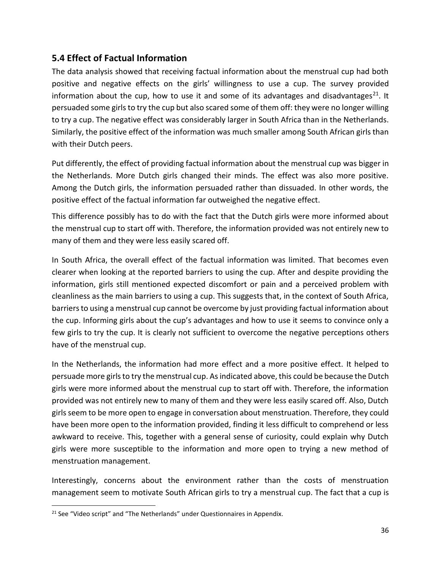### <span id="page-35-0"></span>**5.4 Effect of Factual Information**

The data analysis showed that receiving factual information about the menstrual cup had both positive and negative effects on the girls' willingness to use a cup. The survey provided information about the cup, how to use it and some of its advantages and disadvantages<sup>21</sup>. It persuaded some girls to try the cup but also scared some of them off: they were no longer willing to try a cup. The negative effect was considerably larger in South Africa than in the Netherlands. Similarly, the positive effect of the information was much smaller among South African girls than with their Dutch peers.

Put differently, the effect of providing factual information about the menstrual cup was bigger in the Netherlands. More Dutch girls changed their minds. The effect was also more positive. Among the Dutch girls, the information persuaded rather than dissuaded. In other words, the positive effect of the factual information far outweighed the negative effect.

This difference possibly has to do with the fact that the Dutch girls were more informed about the menstrual cup to start off with. Therefore, the information provided was not entirely new to many of them and they were less easily scared off.

In South Africa, the overall effect of the factual information was limited. That becomes even clearer when looking at the reported barriers to using the cup. After and despite providing the information, girls still mentioned expected discomfort or pain and a perceived problem with cleanliness as the main barriers to using a cup. This suggests that, in the context of South Africa, barriers to using a menstrual cup cannot be overcome by just providing factual information about the cup. Informing girls about the cup's advantages and how to use it seems to convince only a few girls to try the cup. It is clearly not sufficient to overcome the negative perceptions others have of the menstrual cup.

In the Netherlands, the information had more effect and a more positive effect. It helped to persuade more girls to try the menstrual cup. As indicated above, this could be because the Dutch girls were more informed about the menstrual cup to start off with. Therefore, the information provided was not entirely new to many of them and they were less easily scared off. Also, Dutch girls seem to be more open to engage in conversation about menstruation. Therefore, they could have been more open to the information provided, finding it less difficult to comprehend or less awkward to receive. This, together with a general sense of curiosity, could explain why Dutch girls were more susceptible to the information and more open to trying a new method of menstruation management.

Interestingly, concerns about the environment rather than the costs of menstruation management seem to motivate South African girls to try a menstrual cup. The fact that a cup is

<sup>&</sup>lt;sup>21</sup> See "Video script" and "The Netherlands" under Questionnaires in Appendix.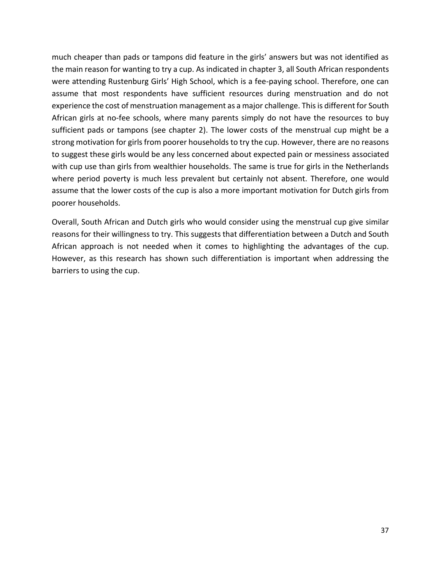much cheaper than pads or tampons did feature in the girls' answers but was not identified as the main reason for wanting to try a cup. As indicated in chapter 3, all South African respondents were attending Rustenburg Girls' High School, which is a fee-paying school. Therefore, one can assume that most respondents have sufficient resources during menstruation and do not experience the cost of menstruation management as a major challenge. This is different for South African girls at no-fee schools, where many parents simply do not have the resources to buy sufficient pads or tampons (see chapter 2). The lower costs of the menstrual cup might be a strong motivation for girls from poorer households to try the cup. However, there are no reasons to suggest these girls would be any less concerned about expected pain or messiness associated with cup use than girls from wealthier households. The same is true for girls in the Netherlands where period poverty is much less prevalent but certainly not absent. Therefore, one would assume that the lower costs of the cup is also a more important motivation for Dutch girls from poorer households.

Overall, South African and Dutch girls who would consider using the menstrual cup give similar reasons for their willingness to try. This suggests that differentiation between a Dutch and South African approach is not needed when it comes to highlighting the advantages of the cup. However, as this research has shown such differentiation is important when addressing the barriers to using the cup.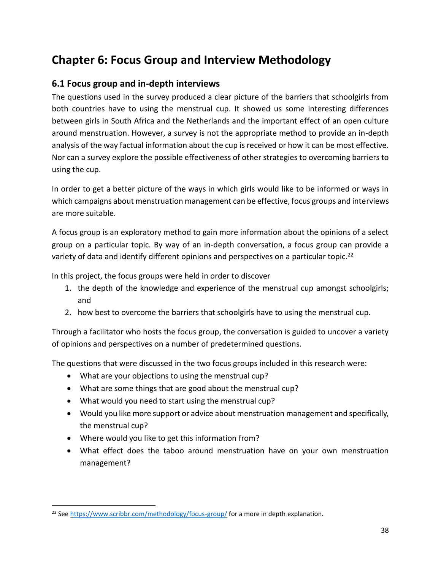# <span id="page-37-0"></span>**Chapter 6: Focus Group and Interview Methodology**

### <span id="page-37-1"></span>**6.1 Focus group and in-depth interviews**

The questions used in the survey produced a clear picture of the barriers that schoolgirls from both countries have to using the menstrual cup. It showed us some interesting differences between girls in South Africa and the Netherlands and the important effect of an open culture around menstruation. However, a survey is not the appropriate method to provide an in-depth analysis of the way factual information about the cup is received or how it can be most effective. Nor can a survey explore the possible effectiveness of other strategies to overcoming barriers to using the cup.

In order to get a better picture of the ways in which girls would like to be informed or ways in which campaigns about menstruation management can be effective, focus groups and interviews are more suitable.

A focus group is an exploratory method to gain more information about the opinions of a select group on a particular topic. By way of an in-depth conversation, a focus group can provide a variety of data and identify different opinions and perspectives on a particular topic.<sup>22</sup>

In this project, the focus groups were held in order to discover

- 1. the depth of the knowledge and experience of the menstrual cup amongst schoolgirls; and
- 2. how best to overcome the barriers that schoolgirls have to using the menstrual cup.

Through a facilitator who hosts the focus group, the conversation is guided to uncover a variety of opinions and perspectives on a number of predetermined questions.

The questions that were discussed in the two focus groups included in this research were:

- What are your objections to using the menstrual cup?
- What are some things that are good about the menstrual cup?
- What would you need to start using the menstrual cup?
- Would you like more support or advice about menstruation management and specifically, the menstrual cup?
- Where would you like to get this information from?
- What effect does the taboo around menstruation have on your own menstruation management?

<sup>&</sup>lt;sup>22</sup> Se[e https://www.scribbr.com/methodology/focus-group/](https://www.scribbr.com/methodology/focus-group/) for a more in depth explanation.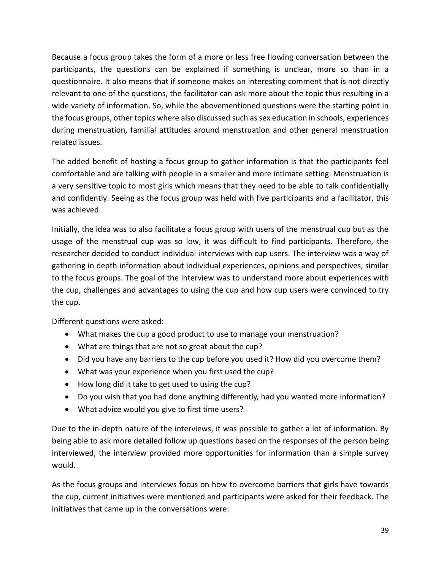Because a focus group takes the form of a more or less free flowing conversation between the participants, the questions can be explained if something is unclear, more so than in a questionnaire. It also means that if someone makes an interesting comment that is not directly relevant to one of the questions, the facilitator can ask more about the topic thus resulting in a wide variety of information. So, while the abovementioned questions were the starting point in the focus groups, other topics where also discussed such as sex education in schools, experiences during menstruation, familial attitudes around menstruation and other general menstruation related issues.

The added benefit of hosting a focus group to gather information is that the participants feel comfortable and are talking with people in a smaller and more intimate setting. Menstruation is a very sensitive topic to most girls which means that they need to be able to talk confidentially and confidently. Seeing as the focus group was held with five participants and a facilitator, this was achieved.

Initially, the idea was to also facilitate a focus group with users of the menstrual cup but as the usage of the menstrual cup was so low, it was difficult to find participants. Therefore, the researcher decided to conduct individual interviews with cup users. The interview was a way of gathering in depth information about individual experiences, opinions and perspectives, similar to the focus groups. The goal of the interview was to understand more about experiences with the cup, challenges and advantages to using the cup and how cup users were convinced to try the cup.

Different questions were asked:

- What makes the cup a good product to use to manage your menstruation?
- What are things that are not so great about the cup?
- Did you have any barriers to the cup before you used it? How did you overcome them?
- What was your experience when you first used the cup?
- How long did it take to get used to using the cup?
- Do you wish that you had done anything differently, had you wanted more information?
- What advice would you give to first time users?

Due to the in-depth nature of the interviews, it was possible to gather a lot of information. By being able to ask more detailed follow up questions based on the responses of the person being interviewed, the interview provided more opportunities for information than a simple survey would.

As the focus groups and interviews focus on how to overcome barriers that girls have towards the cup, current initiatives were mentioned and participants were asked for their feedback. The initiatives that came up in the conversations were: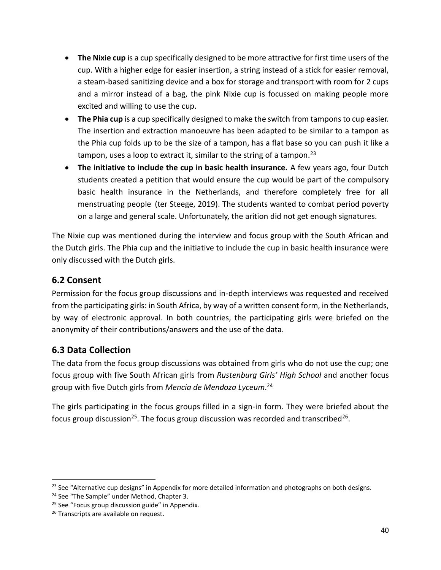- **The Nixie cup** is a cup specifically designed to be more attractive for first time users of the cup. With a higher edge for easier insertion, a string instead of a stick for easier removal, a steam-based sanitizing device and a box for storage and transport with room for 2 cups and a mirror instead of a bag, the pink Nixie cup is focussed on making people more excited and willing to use the cup.
- **The Phia cup** is a cup specifically designed to make the switch from tampons to cup easier. The insertion and extraction manoeuvre has been adapted to be similar to a tampon as the Phia cup folds up to be the size of a tampon, has a flat base so you can push it like a tampon, uses a loop to extract it, similar to the string of a tampon.<sup>23</sup>
- **The initiative to include the cup in basic health insurance.** A few years ago, four Dutch students created a petition that would ensure the cup would be part of the compulsory basic health insurance in the Netherlands, and therefore completely free for all menstruating people (ter Steege, 2019). The students wanted to combat period poverty on a large and general scale. Unfortunately, the arition did not get enough signatures.

The Nixie cup was mentioned during the interview and focus group with the South African and the Dutch girls. The Phia cup and the initiative to include the cup in basic health insurance were only discussed with the Dutch girls.

### <span id="page-39-0"></span>**6.2 Consent**

Permission for the focus group discussions and in-depth interviews was requested and received from the participating girls: in South Africa, by way of a written consent form, in the Netherlands, by way of electronic approval. In both countries, the participating girls were briefed on the anonymity of their contributions/answers and the use of the data.

### <span id="page-39-1"></span>**6.3 Data Collection**

The data from the focus group discussions was obtained from girls who do not use the cup; one focus group with five South African girls from *Rustenburg Girls' High School* and another focus group with five Dutch girls from *Mencia de Mendoza Lyceum*. 24

The girls participating in the focus groups filled in a sign-in form. They were briefed about the focus group discussion<sup>25</sup>. The focus group discussion was recorded and transcribed<sup>26</sup>.

<sup>&</sup>lt;sup>23</sup> See "Alternative cup designs" in Appendix for more detailed information and photographs on both designs.

<sup>&</sup>lt;sup>24</sup> See "The Sample" under Method, Chapter 3.

<sup>&</sup>lt;sup>25</sup> See "Focus group discussion guide" in Appendix.

<sup>&</sup>lt;sup>26</sup> Transcripts are available on request.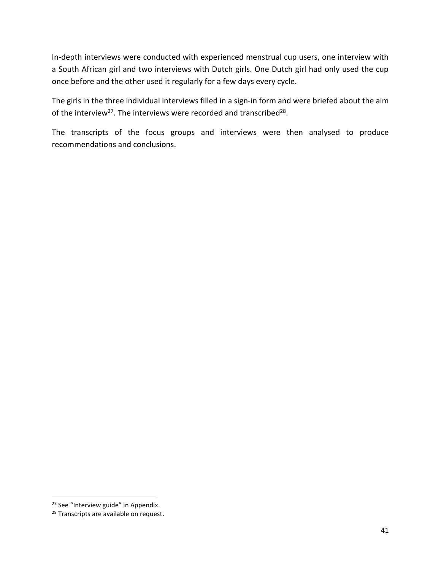In-depth interviews were conducted with experienced menstrual cup users, one interview with a South African girl and two interviews with Dutch girls. One Dutch girl had only used the cup once before and the other used it regularly for a few days every cycle.

The girls in the three individual interviews filled in a sign-in form and were briefed about the aim of the interview<sup>27</sup>. The interviews were recorded and transcribed<sup>28</sup>.

The transcripts of the focus groups and interviews were then analysed to produce recommendations and conclusions.

<sup>&</sup>lt;sup>27</sup> See "Interview guide" in Appendix.

<sup>&</sup>lt;sup>28</sup> Transcripts are available on request.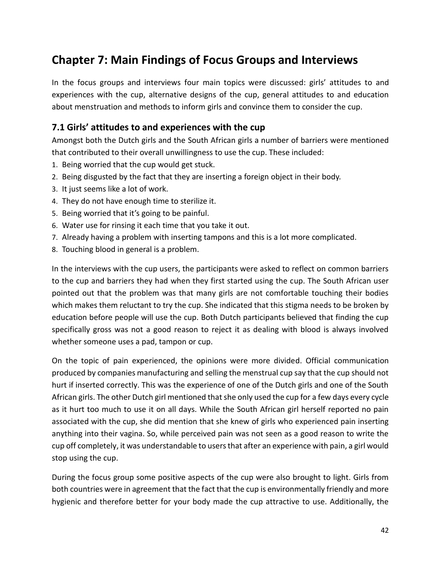# <span id="page-41-0"></span>**Chapter 7: Main Findings of Focus Groups and Interviews**

In the focus groups and interviews four main topics were discussed: girls' attitudes to and experiences with the cup, alternative designs of the cup, general attitudes to and education about menstruation and methods to inform girls and convince them to consider the cup.

### <span id="page-41-1"></span>**7.1 Girls' attitudes to and experiences with the cup**

Amongst both the Dutch girls and the South African girls a number of barriers were mentioned that contributed to their overall unwillingness to use the cup. These included:

- 1. Being worried that the cup would get stuck.
- 2. Being disgusted by the fact that they are inserting a foreign object in their body.
- 3. It just seems like a lot of work.
- 4. They do not have enough time to sterilize it.
- 5. Being worried that it's going to be painful.
- 6. Water use for rinsing it each time that you take it out.
- 7. Already having a problem with inserting tampons and this is a lot more complicated.
- 8. Touching blood in general is a problem.

In the interviews with the cup users, the participants were asked to reflect on common barriers to the cup and barriers they had when they first started using the cup. The South African user pointed out that the problem was that many girls are not comfortable touching their bodies which makes them reluctant to try the cup. She indicated that this stigma needs to be broken by education before people will use the cup. Both Dutch participants believed that finding the cup specifically gross was not a good reason to reject it as dealing with blood is always involved whether someone uses a pad, tampon or cup.

On the topic of pain experienced, the opinions were more divided. Official communication produced by companies manufacturing and selling the menstrual cup say that the cup should not hurt if inserted correctly. This was the experience of one of the Dutch girls and one of the South African girls. The other Dutch girl mentioned that she only used the cup for a few days every cycle as it hurt too much to use it on all days. While the South African girl herself reported no pain associated with the cup, she did mention that she knew of girls who experienced pain inserting anything into their vagina. So, while perceived pain was not seen as a good reason to write the cup off completely, it was understandable to users that after an experience with pain, a girl would stop using the cup.

During the focus group some positive aspects of the cup were also brought to light. Girls from both countries were in agreement that the fact that the cup is environmentally friendly and more hygienic and therefore better for your body made the cup attractive to use. Additionally, the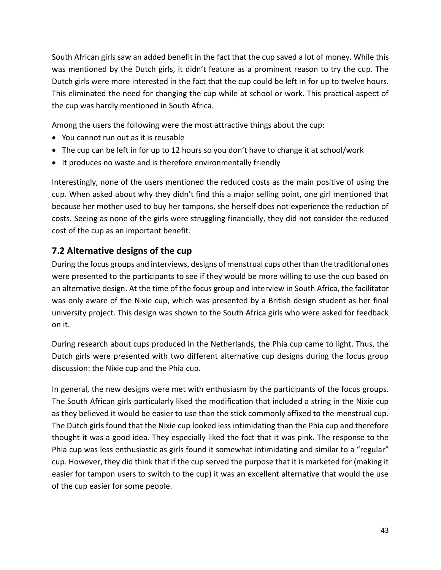South African girls saw an added benefit in the fact that the cup saved a lot of money. While this was mentioned by the Dutch girls, it didn't feature as a prominent reason to try the cup. The Dutch girls were more interested in the fact that the cup could be left in for up to twelve hours. This eliminated the need for changing the cup while at school or work. This practical aspect of the cup was hardly mentioned in South Africa.

Among the users the following were the most attractive things about the cup:

- You cannot run out as it is reusable
- The cup can be left in for up to 12 hours so you don't have to change it at school/work
- It produces no waste and is therefore environmentally friendly

Interestingly, none of the users mentioned the reduced costs as the main positive of using the cup. When asked about why they didn't find this a major selling point, one girl mentioned that because her mother used to buy her tampons, she herself does not experience the reduction of costs. Seeing as none of the girls were struggling financially, they did not consider the reduced cost of the cup as an important benefit.

### <span id="page-42-0"></span>**7.2 Alternative designs of the cup**

During the focus groups and interviews, designs of menstrual cups other than the traditional ones were presented to the participants to see if they would be more willing to use the cup based on an alternative design. At the time of the focus group and interview in South Africa, the facilitator was only aware of the Nixie cup, which was presented by a British design student as her final university project. This design was shown to the South Africa girls who were asked for feedback on it.

During research about cups produced in the Netherlands, the Phia cup came to light. Thus, the Dutch girls were presented with two different alternative cup designs during the focus group discussion: the Nixie cup and the Phia cup.

In general, the new designs were met with enthusiasm by the participants of the focus groups. The South African girls particularly liked the modification that included a string in the Nixie cup as they believed it would be easier to use than the stick commonly affixed to the menstrual cup. The Dutch girls found that the Nixie cup looked less intimidating than the Phia cup and therefore thought it was a good idea. They especially liked the fact that it was pink. The response to the Phia cup was less enthusiastic as girls found it somewhat intimidating and similar to a "regular" cup. However, they did think that if the cup served the purpose that it is marketed for (making it easier for tampon users to switch to the cup) it was an excellent alternative that would the use of the cup easier for some people.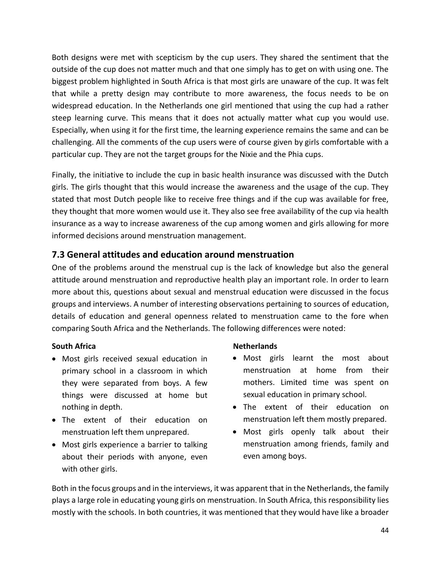Both designs were met with scepticism by the cup users. They shared the sentiment that the outside of the cup does not matter much and that one simply has to get on with using one. The biggest problem highlighted in South Africa is that most girls are unaware of the cup. It was felt that while a pretty design may contribute to more awareness, the focus needs to be on widespread education. In the Netherlands one girl mentioned that using the cup had a rather steep learning curve. This means that it does not actually matter what cup you would use. Especially, when using it for the first time, the learning experience remains the same and can be challenging. All the comments of the cup users were of course given by girls comfortable with a particular cup. They are not the target groups for the Nixie and the Phia cups.

Finally, the initiative to include the cup in basic health insurance was discussed with the Dutch girls. The girls thought that this would increase the awareness and the usage of the cup. They stated that most Dutch people like to receive free things and if the cup was available for free, they thought that more women would use it. They also see free availability of the cup via health insurance as a way to increase awareness of the cup among women and girls allowing for more informed decisions around menstruation management.

### <span id="page-43-0"></span>**7.3 General attitudes and education around menstruation**

One of the problems around the menstrual cup is the lack of knowledge but also the general attitude around menstruation and reproductive health play an important role. In order to learn more about this, questions about sexual and menstrual education were discussed in the focus groups and interviews. A number of interesting observations pertaining to sources of education, details of education and general openness related to menstruation came to the fore when comparing South Africa and the Netherlands. The following differences were noted:

### **South Africa**

- Most girls received sexual education in primary school in a classroom in which they were separated from boys. A few things were discussed at home but nothing in depth.
- The extent of their education on menstruation left them unprepared.
- Most girls experience a barrier to talking about their periods with anyone, even with other girls.

### **Netherlands**

- Most girls learnt the most about menstruation at home from their mothers. Limited time was spent on sexual education in primary school.
- The extent of their education on menstruation left them mostly prepared.
- Most girls openly talk about their menstruation among friends, family and even among boys.

Both in the focus groups and in the interviews, it was apparent that in the Netherlands, the family plays a large role in educating young girls on menstruation. In South Africa, this responsibility lies mostly with the schools. In both countries, it was mentioned that they would have like a broader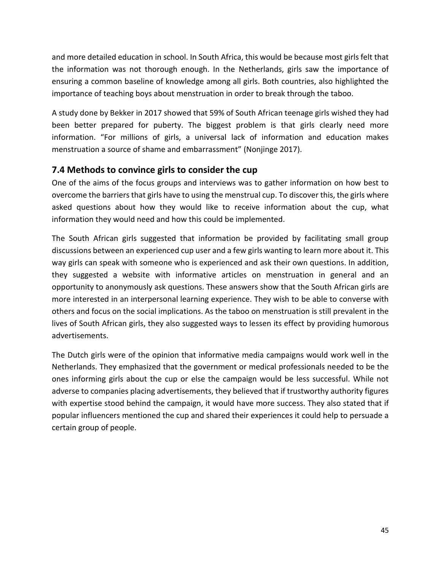and more detailed education in school. In South Africa, this would be because most girls felt that the information was not thorough enough. In the Netherlands, girls saw the importance of ensuring a common baseline of knowledge among all girls. Both countries, also highlighted the importance of teaching boys about menstruation in order to break through the taboo.

A study done by Bekker in 2017 showed that 59% of South African teenage girls wished they had been better prepared for puberty. The biggest problem is that girls clearly need more information. "For millions of girls, a universal lack of information and education makes menstruation a source of shame and embarrassment" (Nonjinge 2017).

### <span id="page-44-0"></span>**7.4 Methods to convince girls to consider the cup**

One of the aims of the focus groups and interviews was to gather information on how best to overcome the barriers that girls have to using the menstrual cup. To discover this, the girls where asked questions about how they would like to receive information about the cup, what information they would need and how this could be implemented.

The South African girls suggested that information be provided by facilitating small group discussions between an experienced cup user and a few girls wanting to learn more about it. This way girls can speak with someone who is experienced and ask their own questions. In addition, they suggested a website with informative articles on menstruation in general and an opportunity to anonymously ask questions. These answers show that the South African girls are more interested in an interpersonal learning experience. They wish to be able to converse with others and focus on the social implications. As the taboo on menstruation is still prevalent in the lives of South African girls, they also suggested ways to lessen its effect by providing humorous advertisements.

The Dutch girls were of the opinion that informative media campaigns would work well in the Netherlands. They emphasized that the government or medical professionals needed to be the ones informing girls about the cup or else the campaign would be less successful. While not adverse to companies placing advertisements, they believed that if trustworthy authority figures with expertise stood behind the campaign, it would have more success. They also stated that if popular influencers mentioned the cup and shared their experiences it could help to persuade a certain group of people.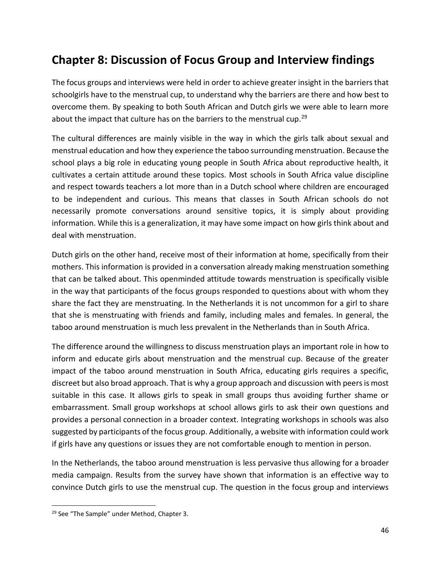# <span id="page-45-0"></span>**Chapter 8: Discussion of Focus Group and Interview findings**

The focus groups and interviews were held in order to achieve greater insight in the barriers that schoolgirls have to the menstrual cup, to understand why the barriers are there and how best to overcome them. By speaking to both South African and Dutch girls we were able to learn more about the impact that culture has on the barriers to the menstrual cup.<sup>29</sup>

The cultural differences are mainly visible in the way in which the girls talk about sexual and menstrual education and how they experience the taboo surrounding menstruation. Because the school plays a big role in educating young people in South Africa about reproductive health, it cultivates a certain attitude around these topics. Most schools in South Africa value discipline and respect towards teachers a lot more than in a Dutch school where children are encouraged to be independent and curious. This means that classes in South African schools do not necessarily promote conversations around sensitive topics, it is simply about providing information. While this is a generalization, it may have some impact on how girls think about and deal with menstruation.

Dutch girls on the other hand, receive most of their information at home, specifically from their mothers. This information is provided in a conversation already making menstruation something that can be talked about. This openminded attitude towards menstruation is specifically visible in the way that participants of the focus groups responded to questions about with whom they share the fact they are menstruating. In the Netherlands it is not uncommon for a girl to share that she is menstruating with friends and family, including males and females. In general, the taboo around menstruation is much less prevalent in the Netherlands than in South Africa.

The difference around the willingness to discuss menstruation plays an important role in how to inform and educate girls about menstruation and the menstrual cup. Because of the greater impact of the taboo around menstruation in South Africa, educating girls requires a specific, discreet but also broad approach. That is why a group approach and discussion with peers is most suitable in this case. It allows girls to speak in small groups thus avoiding further shame or embarrassment. Small group workshops at school allows girls to ask their own questions and provides a personal connection in a broader context. Integrating workshops in schools was also suggested by participants of the focus group. Additionally, a website with information could work if girls have any questions or issues they are not comfortable enough to mention in person.

In the Netherlands, the taboo around menstruation is less pervasive thus allowing for a broader media campaign. Results from the survey have shown that information is an effective way to convince Dutch girls to use the menstrual cup. The question in the focus group and interviews

<sup>&</sup>lt;sup>29</sup> See "The Sample" under Method, Chapter 3.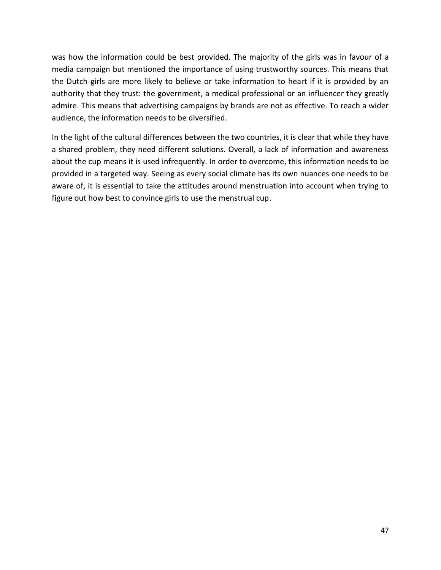was how the information could be best provided. The majority of the girls was in favour of a media campaign but mentioned the importance of using trustworthy sources. This means that the Dutch girls are more likely to believe or take information to heart if it is provided by an authority that they trust: the government, a medical professional or an influencer they greatly admire. This means that advertising campaigns by brands are not as effective. To reach a wider audience, the information needs to be diversified.

In the light of the cultural differences between the two countries, it is clear that while they have a shared problem, they need different solutions. Overall, a lack of information and awareness about the cup means it is used infrequently. In order to overcome, this information needs to be provided in a targeted way. Seeing as every social climate has its own nuances one needs to be aware of, it is essential to take the attitudes around menstruation into account when trying to figure out how best to convince girls to use the menstrual cup.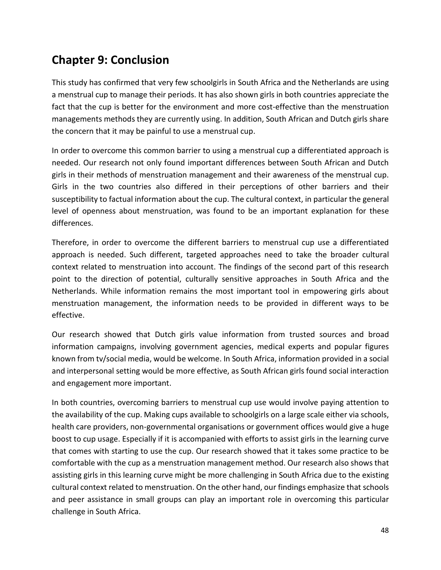# <span id="page-47-0"></span>**Chapter 9: Conclusion**

This study has confirmed that very few schoolgirls in South Africa and the Netherlands are using a menstrual cup to manage their periods. It has also shown girls in both countries appreciate the fact that the cup is better for the environment and more cost-effective than the menstruation managements methods they are currently using. In addition, South African and Dutch girls share the concern that it may be painful to use a menstrual cup.

In order to overcome this common barrier to using a menstrual cup a differentiated approach is needed. Our research not only found important differences between South African and Dutch girls in their methods of menstruation management and their awareness of the menstrual cup. Girls in the two countries also differed in their perceptions of other barriers and their susceptibility to factual information about the cup. The cultural context, in particular the general level of openness about menstruation, was found to be an important explanation for these differences.

Therefore, in order to overcome the different barriers to menstrual cup use a differentiated approach is needed. Such different, targeted approaches need to take the broader cultural context related to menstruation into account. The findings of the second part of this research point to the direction of potential, culturally sensitive approaches in South Africa and the Netherlands. While information remains the most important tool in empowering girls about menstruation management, the information needs to be provided in different ways to be effective.

Our research showed that Dutch girls value information from trusted sources and broad information campaigns, involving government agencies, medical experts and popular figures known from tv/social media, would be welcome. In South Africa, information provided in a social and interpersonal setting would be more effective, as South African girls found social interaction and engagement more important.

In both countries, overcoming barriers to menstrual cup use would involve paying attention to the availability of the cup. Making cups available to schoolgirls on a large scale either via schools, health care providers, non-governmental organisations or government offices would give a huge boost to cup usage. Especially if it is accompanied with efforts to assist girls in the learning curve that comes with starting to use the cup. Our research showed that it takes some practice to be comfortable with the cup as a menstruation management method. Our research also shows that assisting girls in this learning curve might be more challenging in South Africa due to the existing cultural context related to menstruation. On the other hand, our findings emphasize that schools and peer assistance in small groups can play an important role in overcoming this particular challenge in South Africa.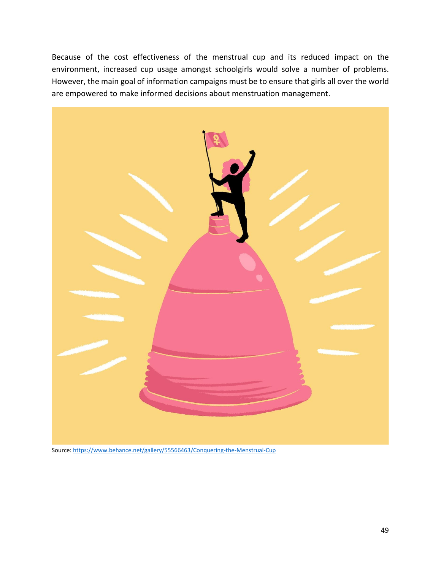Because of the cost effectiveness of the menstrual cup and its reduced impact on the environment, increased cup usage amongst schoolgirls would solve a number of problems. However, the main goal of information campaigns must be to ensure that girls all over the world are empowered to make informed decisions about menstruation management.



Source[: https://www.behance.net/gallery/55566463/Conquering-the-Menstrual-Cup](https://www.behance.net/gallery/55566463/Conquering-the-Menstrual-Cup)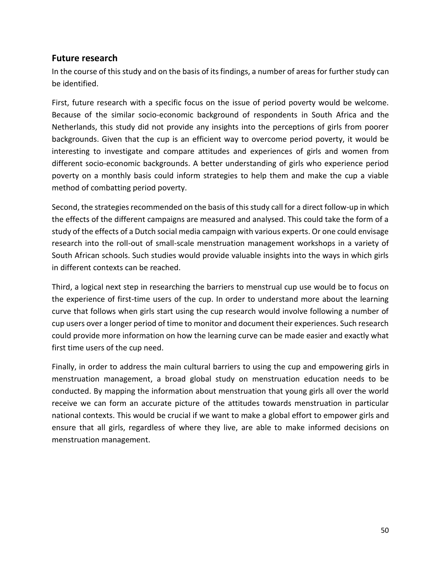### <span id="page-49-0"></span>**Future research**

In the course of this study and on the basis of its findings, a number of areas for further study can be identified.

First, future research with a specific focus on the issue of period poverty would be welcome. Because of the similar socio-economic background of respondents in South Africa and the Netherlands, this study did not provide any insights into the perceptions of girls from poorer backgrounds. Given that the cup is an efficient way to overcome period poverty, it would be interesting to investigate and compare attitudes and experiences of girls and women from different socio-economic backgrounds. A better understanding of girls who experience period poverty on a monthly basis could inform strategies to help them and make the cup a viable method of combatting period poverty.

Second, the strategies recommended on the basis of this study call for a direct follow-up in which the effects of the different campaigns are measured and analysed. This could take the form of a study of the effects of a Dutch social media campaign with various experts. Or one could envisage research into the roll-out of small-scale menstruation management workshops in a variety of South African schools. Such studies would provide valuable insights into the ways in which girls in different contexts can be reached.

Third, a logical next step in researching the barriers to menstrual cup use would be to focus on the experience of first-time users of the cup. In order to understand more about the learning curve that follows when girls start using the cup research would involve following a number of cup users over a longer period of time to monitor and document their experiences. Such research could provide more information on how the learning curve can be made easier and exactly what first time users of the cup need.

Finally, in order to address the main cultural barriers to using the cup and empowering girls in menstruation management, a broad global study on menstruation education needs to be conducted. By mapping the information about menstruation that young girls all over the world receive we can form an accurate picture of the attitudes towards menstruation in particular national contexts. This would be crucial if we want to make a global effort to empower girls and ensure that all girls, regardless of where they live, are able to make informed decisions on menstruation management.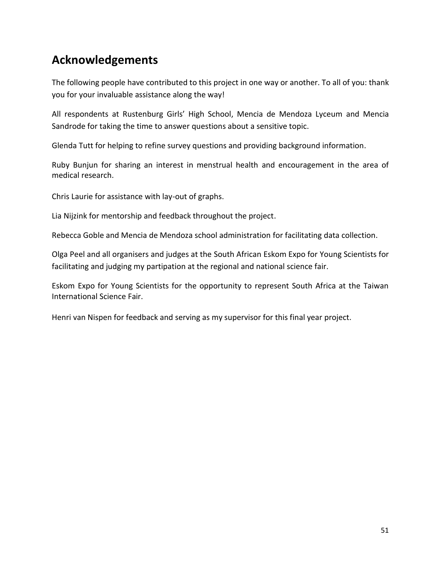# <span id="page-50-0"></span>**Acknowledgements**

The following people have contributed to this project in one way or another. To all of you: thank you for your invaluable assistance along the way!

All respondents at Rustenburg Girls' High School, Mencia de Mendoza Lyceum and Mencia Sandrode for taking the time to answer questions about a sensitive topic.

Glenda Tutt for helping to refine survey questions and providing background information.

Ruby Bunjun for sharing an interest in menstrual health and encouragement in the area of medical research.

Chris Laurie for assistance with lay-out of graphs.

Lia Nijzink for mentorship and feedback throughout the project.

Rebecca Goble and Mencia de Mendoza school administration for facilitating data collection.

Olga Peel and all organisers and judges at the South African Eskom Expo for Young Scientists for facilitating and judging my partipation at the regional and national science fair.

Eskom Expo for Young Scientists for the opportunity to represent South Africa at the Taiwan International Science Fair.

Henri van Nispen for feedback and serving as my supervisor for this final year project.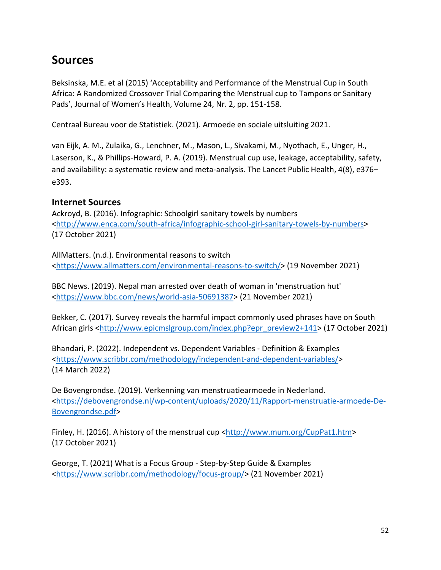# <span id="page-51-0"></span>**Sources**

Beksinska, M.E. et al (2015) 'Acceptability and Performance of the Menstrual Cup in South Africa: A Randomized Crossover Trial Comparing the Menstrual cup to Tampons or Sanitary Pads', Journal of Women's Health, Volume 24, Nr. 2, pp. 151-158.

Centraal Bureau voor de Statistiek. (2021). Armoede en sociale uitsluiting 2021.

van Eijk, A. M., Zulaika, G., Lenchner, M., Mason, L., Sivakami, M., Nyothach, E., Unger, H., Laserson, K., & Phillips-Howard, P. A. (2019). Menstrual cup use, leakage, acceptability, safety, and availability: a systematic review and meta-analysis. The Lancet Public Health, 4(8), e376– e393.

### <span id="page-51-1"></span>**Internet Sources**

Ackroyd, B. (2016). Infographic: Schoolgirl sanitary towels by numbers [<http://www.enca.com/south-africa/infographic-school-girl-sanitary-towels-by-numbers>](http://www.enca.com/south-africa/infographic-school-girl-sanitary-towels-by-numbers) (17 October 2021)

AllMatters. (n.d.). Environmental reasons to switch [<https://www.allmatters.com/environmental-reasons-to-switch/>](https://www.allmatters.com/environmental-reasons-to-switch/) (19 November 2021)

BBC News. (2019). Nepal man arrested over death of woman in 'menstruation hut' [<https://www.bbc.com/news/world-asia-50691387>](https://www.bbc.com/news/world-asia-50691387) (21 November 2021)

Bekker, C. (2017). Survey reveals the harmful impact commonly used phrases have on South African girls [<http://www.epicmslgroup.com/index.php?epr\\_preview2+141>](http://www.epicmslgroup.com/index.php?epr_preview2+141) (17 October 2021)

Bhandari, P. (2022). Independent vs. Dependent Variables - Definition & Examples [<https://www.scribbr.com/methodology/independent-and-dependent-variables/>](https://www.scribbr.com/methodology/independent-and-dependent-variables/) (14 March 2022)

De Bovengrondse. (2019). Verkenning van menstruatiearmoede in Nederland. [<https://debovengrondse.nl/wp-content/uploads/2020/11/Rapport-menstruatie-armoede-De-](https://debovengrondse.nl/wp-content/uploads/2020/11/Rapport-menstruatie-armoede-De-Bovengrondse.pdf)[Bovengrondse.pdf>](https://debovengrondse.nl/wp-content/uploads/2020/11/Rapport-menstruatie-armoede-De-Bovengrondse.pdf)

Finley, H. (2016). A history of the menstrual cup [<http://www.mum.org/CupPat1.htm>](http://www.mum.org/CupPat1.htm) (17 October 2021)

George, T. (2021) What is a Focus Group - Step-by-Step Guide & Examples [<https://www.scribbr.com/methodology/focus-group/>](https://www.scribbr.com/methodology/focus-group/) (21 November 2021)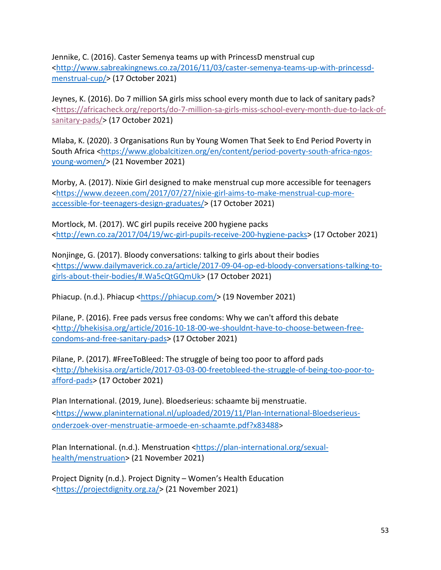Jennike, C. (2016). Caster Semenya teams up with PrincessD menstrual cup [<http://www.sabreakingnews.co.za/2016/11/03/caster-semenya-teams-up-with-princessd](http://www.sabreakingnews.co.za/2016/11/03/caster-semenya-teams-up-with-princessd-menstrual-cup/)[menstrual-cup/>](http://www.sabreakingnews.co.za/2016/11/03/caster-semenya-teams-up-with-princessd-menstrual-cup/) (17 October 2021)

Jeynes, K. (2016). Do 7 million SA girls miss school every month due to lack of sanitary pads? [<https://africacheck.org/reports/do-7-million-sa-girls-miss-school-every-month-due-to-lack-of](https://africacheck.org/reports/do-7-million-sa-girls-miss-school-every-month-due-to-lack-of-sanitary-pads/)[sanitary-pads/>](https://africacheck.org/reports/do-7-million-sa-girls-miss-school-every-month-due-to-lack-of-sanitary-pads/) (17 October 2021)

Mlaba, K. (2020). 3 Organisations Run by Young Women That Seek to End Period Poverty in South Africa [<https://www.globalcitizen.org/en/content/period-poverty-south-africa-ngos](https://www.globalcitizen.org/en/content/period-poverty-south-africa-ngos-young-women/)[young-women/>](https://www.globalcitizen.org/en/content/period-poverty-south-africa-ngos-young-women/) (21 November 2021)

Morby, A. (2017). Nixie Girl designed to make menstrual cup more accessible for teenagers [<https://www.dezeen.com/2017/07/27/nixie-girl-aims-to-make-menstrual-cup-more](https://www.dezeen.com/2017/07/27/nixie-girl-aims-to-make-menstrual-cup-more-accessible-for-teenagers-design-graduates/)[accessible-for-teenagers-design-graduates/>](https://www.dezeen.com/2017/07/27/nixie-girl-aims-to-make-menstrual-cup-more-accessible-for-teenagers-design-graduates/) (17 October 2021)

Mortlock, M. (2017). WC girl pupils receive 200 hygiene packs [<http://ewn.co.za/2017/04/19/wc-girl-pupils-receive-200-hygiene-packs>](http://ewn.co.za/2017/04/19/wc-girl-pupils-receive-200-hygiene-packs) (17 October 2021)

Nonjinge, G. (2017). Bloody conversations: talking to girls about their bodies [<https://www.dailymaverick.co.za/article/2017-09-04-op-ed-bloody-conversations-talking-to](https://www.dailymaverick.co.za/article/2017-09-04-op-ed-bloody-conversations-talking-to-girls-about-their-bodies/%23.Wa5cQtGQmUk)[girls-about-their-bodies/#.Wa5cQtGQmUk>](https://www.dailymaverick.co.za/article/2017-09-04-op-ed-bloody-conversations-talking-to-girls-about-their-bodies/%23.Wa5cQtGQmUk) (17 October 2021)

Phiacup. (n.d.). Phiacup [<https://phiacup.com/>](https://phiacup.com/) (19 November 2021)

Pilane, P. (2016). Free pads versus free condoms: Why we can't afford this debate [<http://bhekisisa.org/article/2016-10-18-00-we-shouldnt-have-to-choose-between-free](http://bhekisisa.org/article/2016-10-18-00-we-shouldnt-have-to-choose-between-free-condoms-and-free-sanitary-pads)[condoms-and-free-sanitary-pads>](http://bhekisisa.org/article/2016-10-18-00-we-shouldnt-have-to-choose-between-free-condoms-and-free-sanitary-pads) (17 October 2021)

Pilane, P. (2017). #FreeToBleed: The struggle of being too poor to afford pads [<http://bhekisisa.org/article/2017-03-03-00-freetobleed-the-struggle-of-being-too-poor-to](http://bhekisisa.org/article/2017-03-03-00-freetobleed-the-struggle-of-being-too-poor-to-afford-pads)[afford-pads>](http://bhekisisa.org/article/2017-03-03-00-freetobleed-the-struggle-of-being-too-poor-to-afford-pads) (17 October 2021)

Plan International. (2019, June). Bloedserieus: schaamte bij menstruatie. [<https://www.planinternational.nl/uploaded/2019/11/Plan-International-Bloedserieus](https://www.planinternational.nl/uploaded/2019/11/Plan-International-Bloedserieus-onderzoek-over-menstruatie-armoede-en-schaamte.pdf?x83488)[onderzoek-over-menstruatie-armoede-en-schaamte.pdf?x83488](https://www.planinternational.nl/uploaded/2019/11/Plan-International-Bloedserieus-onderzoek-over-menstruatie-armoede-en-schaamte.pdf?x83488)>

Plan International. (n.d.). Menstruation [<https://plan-international.org/sexual](https://plan-international.org/sexual-health/menstruation)[health/menstruation>](https://plan-international.org/sexual-health/menstruation) (21 November 2021)

Project Dignity (n.d.). Project Dignity – Women's Health Education [<https://projectdignity.org.za/>](https://projectdignity.org.za/) (21 November 2021)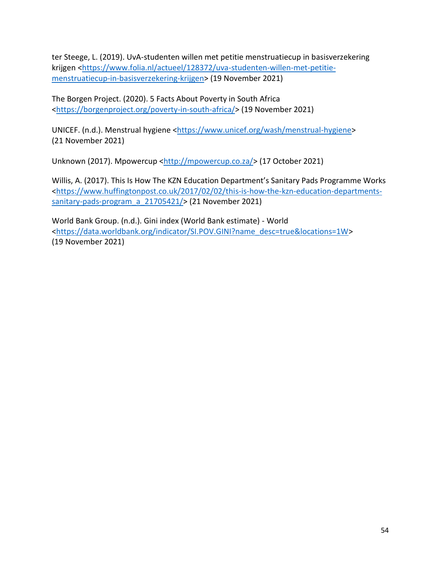ter Steege, L. (2019). UvA-studenten willen met petitie menstruatiecup in basisverzekering krijgen [<https://www.folia.nl/actueel/128372/uva-studenten-willen-met-petitie](https://www.folia.nl/actueel/128372/uva-studenten-willen-met-petitie-menstruatiecup-in-basisverzekering-krijgen)[menstruatiecup-in-basisverzekering-krijgen>](https://www.folia.nl/actueel/128372/uva-studenten-willen-met-petitie-menstruatiecup-in-basisverzekering-krijgen) (19 November 2021)

The Borgen Project. (2020). 5 Facts About Poverty in South Africa [<https://borgenproject.org/poverty-in-south-africa/>](https://borgenproject.org/poverty-in-south-africa/) (19 November 2021)

UNICEF. (n.d.). Menstrual hygiene [<https://www.unicef.org/wash/menstrual-hygiene>](https://www.unicef.org/wash/menstrual-hygiene) (21 November 2021)

Unknown (2017). Mpowercup [<http://mpowercup.co.za/>](http://mpowercup.co.za/) (17 October 2021)

Willis, A. (2017). This Is How The KZN Education Department's Sanitary Pads Programme Works [<https://www.huffingtonpost.co.uk/2017/02/02/this-is-how-the-kzn-education-departments](https://www.huffingtonpost.co.uk/2017/02/02/this-is-how-the-kzn-education-departments-sanitary-pads-program_a_21705421/)[sanitary-pads-program\\_a\\_21705421/>](https://www.huffingtonpost.co.uk/2017/02/02/this-is-how-the-kzn-education-departments-sanitary-pads-program_a_21705421/) (21 November 2021)

World Bank Group. (n.d.). Gini index (World Bank estimate) - World [<https://data.worldbank.org/indicator/SI.POV.GINI?name\\_desc=true&locations=1W>](https://data.worldbank.org/indicator/SI.POV.GINI?name_desc=true&locations=1W) (19 November 2021)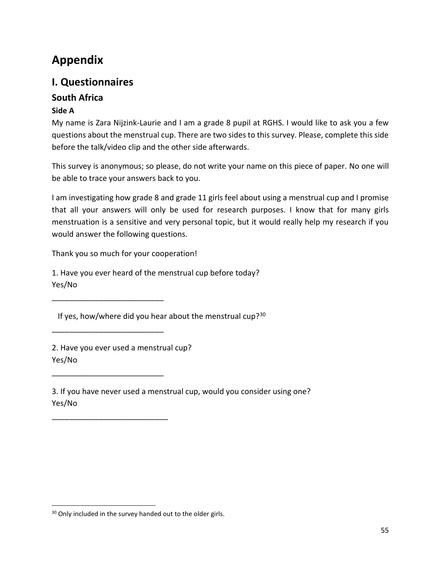# <span id="page-54-0"></span>**Appendix**

# <span id="page-54-1"></span>**I. Questionnaires**

# <span id="page-54-2"></span>**South Africa**

### **Side A**

My name is Zara Nijzink-Laurie and I am a grade 8 pupil at RGHS. I would like to ask you a few questions about the menstrual cup. There are two sides to this survey. Please, complete this side before the talk/video clip and the other side afterwards.

This survey is anonymous; so please, do not write your name on this piece of paper. No one will be able to trace your answers back to you.

I am investigating how grade 8 and grade 11 girls feel about using a menstrual cup and I promise that all your answers will only be used for research purposes. I know that for many girls menstruation is a sensitive and very personal topic, but it would really help my research if you would answer the following questions.

Thank you so much for your cooperation!

1. Have you ever heard of the menstrual cup before today? Yes/No

If yes, how/where did you hear about the menstrual cup? $30$ 

2. Have you ever used a menstrual cup? Yes/No

\_\_\_\_\_\_\_\_\_\_\_\_\_\_\_\_\_\_\_\_\_\_\_\_\_\_

\_\_\_\_\_\_\_\_\_\_\_\_\_\_\_\_\_\_\_\_\_\_\_\_\_\_

\_\_\_\_\_\_\_\_\_\_\_\_\_\_\_\_\_\_\_\_\_\_\_\_\_\_

\_\_\_\_\_\_\_\_\_\_\_\_\_\_\_\_\_\_\_\_\_\_\_\_\_\_\_

3. If you have never used a menstrual cup, would you consider using one? Yes/No

<sup>&</sup>lt;sup>30</sup> Only included in the survey handed out to the older girls.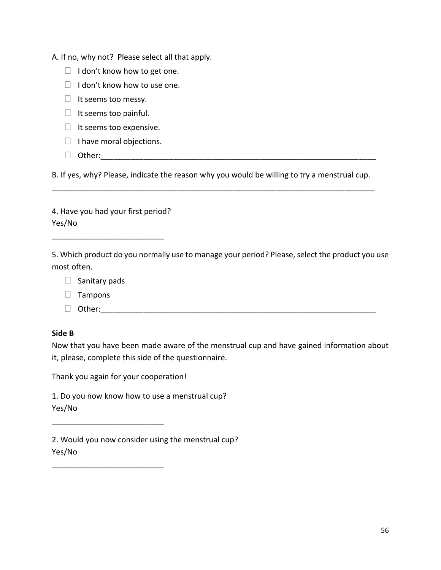A. If no, why not? Please select all that apply.

- $\Box$  I don't know how to get one.
- $\Box$  I don't know how to use one.
- $\Box$  It seems too messy.
- $\Box$  It seems too painful.
- $\Box$  It seems too expensive.
- $\Box$  I have moral objections.
- Other:\_\_\_\_\_\_\_\_\_\_\_\_\_\_\_\_\_\_\_\_\_\_\_\_\_\_\_\_\_\_\_\_\_\_\_\_\_\_\_\_\_\_\_\_\_\_\_\_\_\_\_\_\_\_\_\_\_\_\_\_\_\_\_\_

B. If yes, why? Please, indicate the reason why you would be willing to try a menstrual cup. \_\_\_\_\_\_\_\_\_\_\_\_\_\_\_\_\_\_\_\_\_\_\_\_\_\_\_\_\_\_\_\_\_\_\_\_\_\_\_\_\_\_\_\_\_\_\_\_\_\_\_\_\_\_\_\_\_\_\_\_\_\_\_\_\_\_\_\_\_\_\_\_\_\_\_

4. Have you had your first period? Yes/No

\_\_\_\_\_\_\_\_\_\_\_\_\_\_\_\_\_\_\_\_\_\_\_\_\_\_

5. Which product do you normally use to manage your period? Please, select the product you use most often.

|  | Sanitary pads |  |
|--|---------------|--|
|--|---------------|--|

- $\Box$  Tampons
- $\Box$  Other:

#### **Side B**

Now that you have been made aware of the menstrual cup and have gained information about it, please, complete this side of the questionnaire.

Thank you again for your cooperation!

\_\_\_\_\_\_\_\_\_\_\_\_\_\_\_\_\_\_\_\_\_\_\_\_\_\_

\_\_\_\_\_\_\_\_\_\_\_\_\_\_\_\_\_\_\_\_\_\_\_\_\_\_

1. Do you now know how to use a menstrual cup? Yes/No

2. Would you now consider using the menstrual cup? Yes/No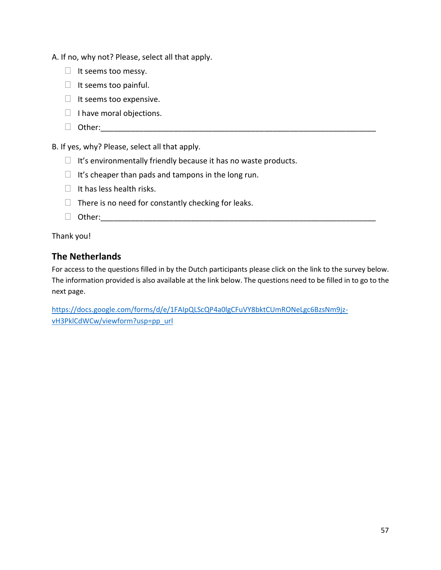A. If no, why not? Please, select all that apply.

- $\Box$  It seems too messy.
- $\Box$  It seems too painful.
- $\Box$  It seems too expensive.
- $\Box$  I have moral objections.
- Other:\_\_\_\_\_\_\_\_\_\_\_\_\_\_\_\_\_\_\_\_\_\_\_\_\_\_\_\_\_\_\_\_\_\_\_\_\_\_\_\_\_\_\_\_\_\_\_\_\_\_\_\_\_\_\_\_\_\_\_\_\_\_\_\_

B. If yes, why? Please, select all that apply.

- $\Box$  It's environmentally friendly because it has no waste products.
- $\Box$  It's cheaper than pads and tampons in the long run.
- $\Box$  It has less health risks.
- $\Box$  There is no need for constantly checking for leaks.
- $\Box$  Other:

Thank you!

### <span id="page-56-0"></span>**The Netherlands**

For access to the questions filled in by the Dutch participants please click on the link to the survey below. The information provided is also available at the link below. The questions need to be filled in to go to the next page.

[https://docs.google.com/forms/d/e/1FAIpQLScQP4a0lgCFuVY8bktCUmRONeLgc6BzsNm9jz](https://docs.google.com/forms/d/e/1FAIpQLScQP4a0lgCFuVY8bktCUmRONeLgc6BzsNm9jz-vH3PklCdWCw/viewform?usp=pp_url)[vH3PklCdWCw/viewform?usp=pp\\_url](https://docs.google.com/forms/d/e/1FAIpQLScQP4a0lgCFuVY8bktCUmRONeLgc6BzsNm9jz-vH3PklCdWCw/viewform?usp=pp_url)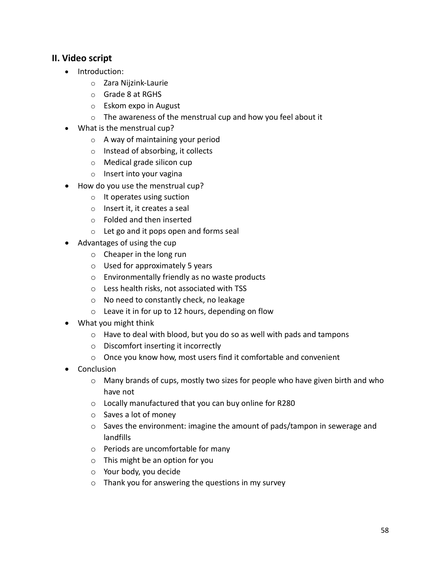### <span id="page-57-0"></span>**II. Video script**

- Introduction:
	- o Zara Nijzink-Laurie
	- o Grade 8 at RGHS
	- o Eskom expo in August
	- o The awareness of the menstrual cup and how you feel about it
- What is the menstrual cup?
	- o A way of maintaining your period
	- o Instead of absorbing, it collects
	- o Medical grade silicon cup
	- o Insert into your vagina
- How do you use the menstrual cup?
	- o It operates using suction
	- o Insert it, it creates a seal
	- o Folded and then inserted
	- o Let go and it pops open and forms seal
- Advantages of using the cup
	- o Cheaper in the long run
	- o Used for approximately 5 years
	- o Environmentally friendly as no waste products
	- o Less health risks, not associated with TSS
	- o No need to constantly check, no leakage
	- o Leave it in for up to 12 hours, depending on flow
- What you might think
	- o Have to deal with blood, but you do so as well with pads and tampons
	- o Discomfort inserting it incorrectly
	- o Once you know how, most users find it comfortable and convenient
- Conclusion
	- $\circ$  Many brands of cups, mostly two sizes for people who have given birth and who have not
	- o Locally manufactured that you can buy online for R280
	- o Saves a lot of money
	- o Saves the environment: imagine the amount of pads/tampon in sewerage and landfills
	- o Periods are uncomfortable for many
	- o This might be an option for you
	- o Your body, you decide
	- o Thank you for answering the questions in my survey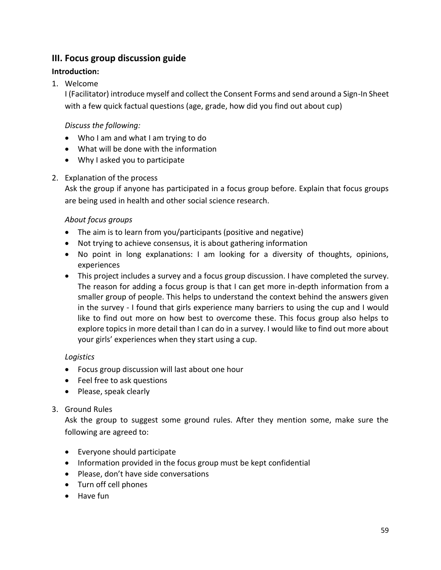### <span id="page-58-0"></span>**III. Focus group discussion guide**

### **Introduction:**

### 1. Welcome

I (Facilitator) introduce myself and collect the Consent Forms and send around a Sign-In Sheet with a few quick factual questions (age, grade, how did you find out about cup)

### *Discuss the following:*

- Who I am and what I am trying to do
- What will be done with the information
- Why I asked you to participate

### 2. Explanation of the process

Ask the group if anyone has participated in a focus group before. Explain that focus groups are being used in health and other social science research.

### *About focus groups*

- The aim is to learn from you/participants (positive and negative)
- Not trying to achieve consensus, it is about gathering information
- No point in long explanations: I am looking for a diversity of thoughts, opinions, experiences
- This project includes a survey and a focus group discussion. I have completed the survey. The reason for adding a focus group is that I can get more in-depth information from a smaller group of people. This helps to understand the context behind the answers given in the survey - I found that girls experience many barriers to using the cup and I would like to find out more on how best to overcome these. This focus group also helps to explore topics in more detail than I can do in a survey. I would like to find out more about your girls' experiences when they start using a cup.

### *Logistics*

- Focus group discussion will last about one hour
- Feel free to ask questions
- Please, speak clearly

### 3. Ground Rules

Ask the group to suggest some ground rules. After they mention some, make sure the following are agreed to:

- Everyone should participate
- Information provided in the focus group must be kept confidential
- Please, don't have side conversations
- Turn off cell phones
- Have fun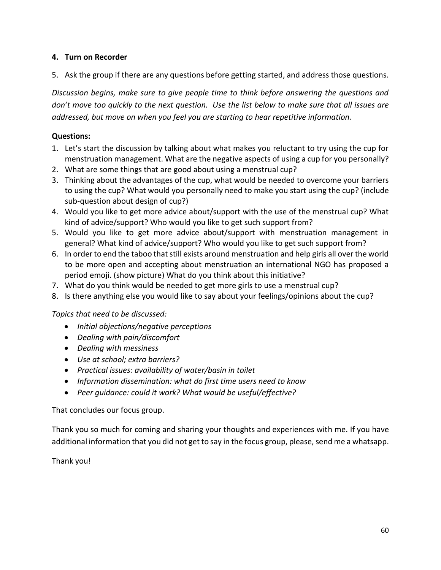### **4. Turn on Recorder**

5. Ask the group if there are any questions before getting started, and address those questions.

*Discussion begins, make sure to give people time to think before answering the questions and don't move too quickly to the next question. Use the list below to make sure that all issues are addressed, but move on when you feel you are starting to hear repetitive information.*

### **Questions:**

- 1. Let's start the discussion by talking about what makes you reluctant to try using the cup for menstruation management. What are the negative aspects of using a cup for you personally?
- 2. What are some things that are good about using a menstrual cup?
- 3. Thinking about the advantages of the cup, what would be needed to overcome your barriers to using the cup? What would you personally need to make you start using the cup? (include sub-question about design of cup?)
- 4. Would you like to get more advice about/support with the use of the menstrual cup? What kind of advice/support? Who would you like to get such support from?
- 5. Would you like to get more advice about/support with menstruation management in general? What kind of advice/support? Who would you like to get such support from?
- 6. In order to end the taboo that still exists around menstruation and help girls all over the world to be more open and accepting about menstruation an international NGO has proposed a period emoji. (show picture) What do you think about this initiative?
- 7. What do you think would be needed to get more girls to use a menstrual cup?
- 8. Is there anything else you would like to say about your feelings/opinions about the cup?

### *Topics that need to be discussed:*

- *Initial objections/negative perceptions*
- *Dealing with pain/discomfort*
- *Dealing with messiness*
- *Use at school; extra barriers?*
- *Practical issues: availability of water/basin in toilet*
- *Information dissemination: what do first time users need to know*
- *Peer guidance: could it work? What would be useful/effective?*

#### That concludes our focus group.

Thank you so much for coming and sharing your thoughts and experiences with me. If you have additional information that you did not get to say in the focus group, please, send me a whatsapp.

Thank you!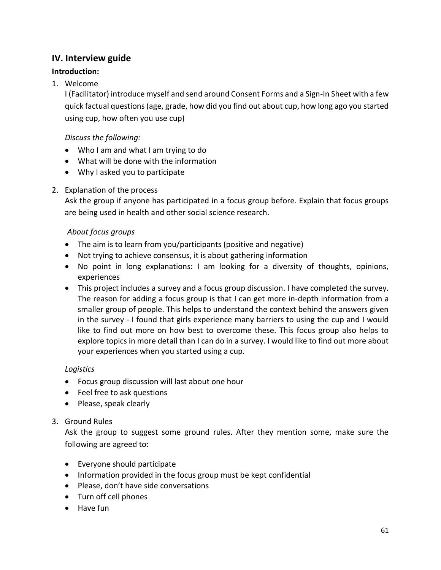### <span id="page-60-0"></span>**IV. Interview guide**

### **Introduction:**

### 1. Welcome

I (Facilitator) introduce myself and send around Consent Forms and a Sign-In Sheet with a few quick factual questions (age, grade, how did you find out about cup, how long ago you started using cup, how often you use cup)

#### *Discuss the following:*

- Who I am and what I am trying to do
- What will be done with the information
- Why I asked you to participate

### 2. Explanation of the process

Ask the group if anyone has participated in a focus group before. Explain that focus groups are being used in health and other social science research.

#### *About focus groups*

- The aim is to learn from you/participants (positive and negative)
- Not trying to achieve consensus, it is about gathering information
- No point in long explanations: I am looking for a diversity of thoughts, opinions, experiences
- This project includes a survey and a focus group discussion. I have completed the survey. The reason for adding a focus group is that I can get more in-depth information from a smaller group of people. This helps to understand the context behind the answers given in the survey - I found that girls experience many barriers to using the cup and I would like to find out more on how best to overcome these. This focus group also helps to explore topics in more detail than I can do in a survey. I would like to find out more about your experiences when you started using a cup.

### *Logistics*

- Focus group discussion will last about one hour
- Feel free to ask questions
- Please, speak clearly

### 3. Ground Rules

Ask the group to suggest some ground rules. After they mention some, make sure the following are agreed to:

- Everyone should participate
- Information provided in the focus group must be kept confidential
- Please, don't have side conversations
- Turn off cell phones
- Have fun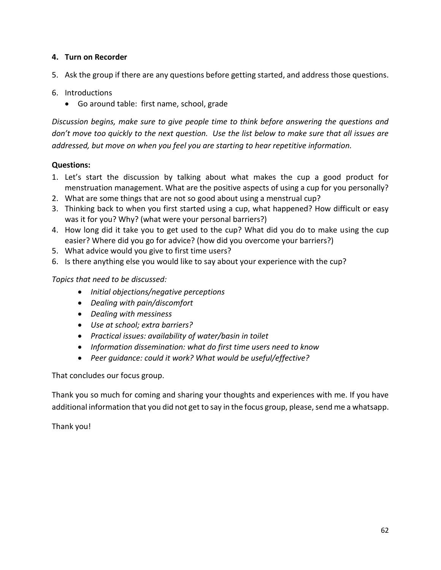### **4. Turn on Recorder**

- 5. Ask the group if there are any questions before getting started, and address those questions.
- 6. Introductions
	- Go around table: first name, school, grade

*Discussion begins, make sure to give people time to think before answering the questions and don't move too quickly to the next question. Use the list below to make sure that all issues are addressed, but move on when you feel you are starting to hear repetitive information.*

#### **Questions:**

- 1. Let's start the discussion by talking about what makes the cup a good product for menstruation management. What are the positive aspects of using a cup for you personally?
- 2. What are some things that are not so good about using a menstrual cup?
- 3. Thinking back to when you first started using a cup, what happened? How difficult or easy was it for you? Why? (what were your personal barriers?)
- 4. How long did it take you to get used to the cup? What did you do to make using the cup easier? Where did you go for advice? (how did you overcome your barriers?)
- 5. What advice would you give to first time users?
- 6. Is there anything else you would like to say about your experience with the cup?

#### *Topics that need to be discussed:*

- *Initial objections/negative perceptions*
- *Dealing with pain/discomfort*
- *Dealing with messiness*
- *Use at school; extra barriers?*
- *Practical issues: availability of water/basin in toilet*
- *Information dissemination: what do first time users need to know*
- *Peer guidance: could it work? What would be useful/effective?*

That concludes our focus group.

Thank you so much for coming and sharing your thoughts and experiences with me. If you have additional information that you did not get to say in the focus group, please, send me a whatsapp.

Thank you!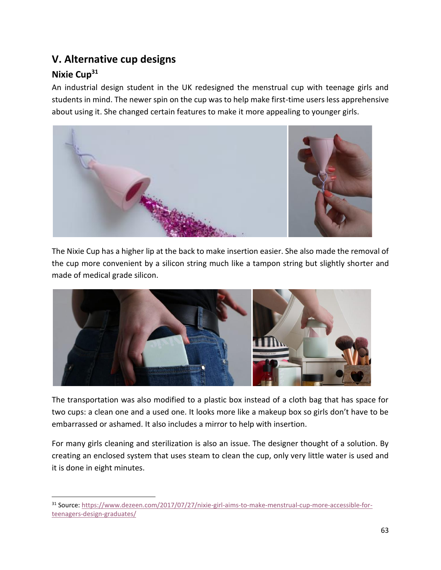# <span id="page-62-0"></span>**V. Alternative cup designs**

# <span id="page-62-1"></span>**Nixie Cup<sup>31</sup>**

An industrial design student in the UK redesigned the menstrual cup with teenage girls and students in mind. The newer spin on the cup was to help make first-time users less apprehensive about using it. She changed certain features to make it more appealing to younger girls.



The Nixie Cup has a higher lip at the back to make insertion easier. She also made the removal of the cup more convenient by a silicon string much like a tampon string but slightly shorter and made of medical grade silicon.



The transportation was also modified to a plastic box instead of a cloth bag that has space for two cups: a clean one and a used one. It looks more like a makeup box so girls don't have to be embarrassed or ashamed. It also includes a mirror to help with insertion.

For many girls cleaning and sterilization is also an issue. The designer thought of a solution. By creating an enclosed system that uses steam to clean the cup, only very little water is used and it is done in eight minutes.

<sup>31</sup> Source: [https://www.dezeen.com/2017/07/27/nixie-girl-aims-to-make-menstrual-cup-more-accessible-for](https://www.dezeen.com/2017/07/27/nixie-girl-aims-to-make-menstrual-cup-more-accessible-for-teenagers-design-graduates/)[teenagers-design-graduates/](https://www.dezeen.com/2017/07/27/nixie-girl-aims-to-make-menstrual-cup-more-accessible-for-teenagers-design-graduates/)